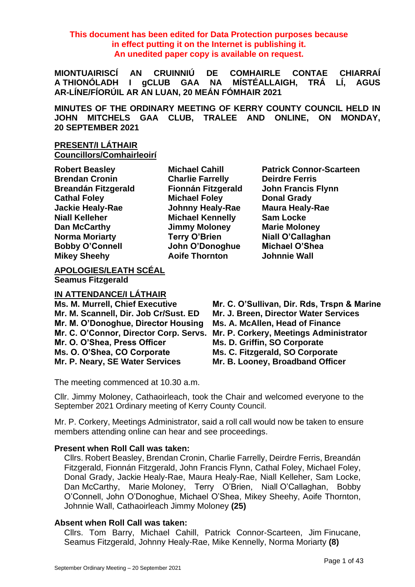**This document has been edited for Data Protection purposes because in effect putting it on the Internet is publishing it. An unedited paper copy is available on request.**

**MIONTUAIRISCÍ AN CRUINNIÚ DE COMHAIRLE CONTAE CHIARRAÍ A THIONÓLADH I gCLUB GAA NA MÍSTÉALLAIGH, TRÁ LÍ, AGUS AR-LÍNE/FÍORÚIL AR AN LUAN, 20 MEÁN FÓMHAIR 2021**

**MINUTES OF THE ORDINARY MEETING OF KERRY COUNTY COUNCIL HELD IN JOHN MITCHELS GAA CLUB, TRALEE AND ONLINE, ON MONDAY, 20 SEPTEMBER 2021**

# **PRESENT/I LÁTHAIR Councillors/Comhairleoirí**

| <b>Robert Beasley</b>      |
|----------------------------|
| <b>Brendan Cronin</b>      |
| <b>Breandán Fitzgerald</b> |
| <b>Cathal Foley</b>        |
| <b>Jackie Healy-Rae</b>    |
| <b>Niall Kelleher</b>      |
| <b>Dan McCarthy</b>        |
| <b>Norma Moriarty</b>      |
| <b>Bobby O'Connell</b>     |
| <b>Mikey Sheehv</b>        |

**Brendan Cronin Charlie Farrelly Deirdre Ferris Cathal Foley Michael Foley Donal Grady Jackie Healy-Rae Johnny Healy-Rae Maura Healy-Rae Michael Kennelly Sam Locke Dan McCarthy Jimmy Moloney Marie Moloney Norma Moriarty Terry O'Brien Niall O'Callaghan Bobby O'Connell John O'Donoghue Michael O'Shea Mikey Sheehy Aoife Thornton Johnnie Wall**

**Robert Beasley Michael Cahill Patrick Connor-Scarteen Breandán Fitzgerald Fionnán Fitzgerald John Francis Flynn**

**APOLOGIES/LEATH SCÉAL Seamus Fitzgerald**

#### **IN ATTENDANCE/I LÁTHAIR**

**Mr. M. Scannell, Dir. Job Cr/Sust. ED Mr. J. Breen, Director Water Services Mr. M. O'Donoghue, Director Housing Ms. A. McAllen, Head of Finance Mr. C. O'Connor, Director Corp. Servs. Mr. P. Corkery, Meetings Administrator Mr. O. O'Shea, Press Officer Ms. D. Griffin, SO Corporate Ms. O. O'Shea, CO Corporate Ms. C. Fitzgerald, SO Corporate Mr. P. Neary, SE Water Services Mr. B. Looney, Broadband Officer**

- **Ms. M. Murrell, Chief Executive Mr. C. O'Sullivan, Dir. Rds, Trspn & Marine**
	-
	-
	-
	-
	-
	-

The meeting commenced at 10.30 a.m.

Cllr. Jimmy Moloney, Cathaoirleach, took the Chair and welcomed everyone to the September 2021 Ordinary meeting of Kerry County Council.

Mr. P. Corkery, Meetings Administrator, said a roll call would now be taken to ensure members attending online can hear and see proceedings.

#### **Present when Roll Call was taken:**

Cllrs. Robert Beasley, Brendan Cronin, Charlie Farrelly, Deirdre Ferris, Breandán Fitzgerald, Fionnán Fitzgerald, John Francis Flynn, Cathal Foley, Michael Foley, Donal Grady, Jackie Healy-Rae, Maura Healy-Rae, Niall Kelleher, Sam Locke, Dan McCarthy, Marie Moloney, Terry O'Brien, Niall O'Callaghan, Bobby O'Connell, John O'Donoghue, Michael O'Shea, Mikey Sheehy, Aoife Thornton, Johnnie Wall, Cathaoirleach Jimmy Moloney **(25)**

# **Absent when Roll Call was taken:**

Cllrs. Tom Barry, Michael Cahill, Patrick Connor-Scarteen, Jim Finucane, Seamus Fitzgerald, Johnny Healy-Rae, Mike Kennelly, Norma Moriarty **(8)**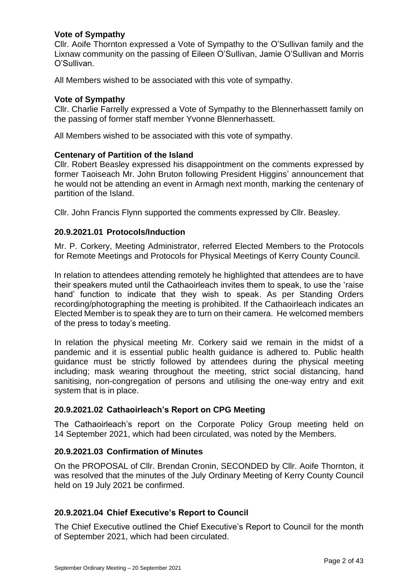# **Vote of Sympathy**

Cllr. Aoife Thornton expressed a Vote of Sympathy to the O'Sullivan family and the Lixnaw community on the passing of Eileen O'Sullivan, Jamie O'Sullivan and Morris O'Sullivan.

All Members wished to be associated with this vote of sympathy.

### **Vote of Sympathy**

Cllr. Charlie Farrelly expressed a Vote of Sympathy to the Blennerhassett family on the passing of former staff member Yvonne Blennerhassett.

All Members wished to be associated with this vote of sympathy.

### **Centenary of Partition of the Island**

Cllr. Robert Beasley expressed his disappointment on the comments expressed by former Taoiseach Mr. John Bruton following President Higgins' announcement that he would not be attending an event in Armagh next month, marking the centenary of partition of the Island.

Cllr. John Francis Flynn supported the comments expressed by Cllr. Beasley.

### **20.9.2021.01 Protocols/Induction**

Mr. P. Corkery, Meeting Administrator, referred Elected Members to the Protocols for Remote Meetings and Protocols for Physical Meetings of Kerry County Council.

In relation to attendees attending remotely he highlighted that attendees are to have their speakers muted until the Cathaoirleach invites them to speak, to use the 'raise hand' function to indicate that they wish to speak. As per Standing Orders recording/photographing the meeting is prohibited. If the Cathaoirleach indicates an Elected Member is to speak they are to turn on their camera. He welcomed members of the press to today's meeting.

In relation the physical meeting Mr. Corkery said we remain in the midst of a pandemic and it is essential public health guidance is adhered to. Public health guidance must be strictly followed by attendees during the physical meeting including; mask wearing throughout the meeting, strict social distancing, hand sanitising, non-congregation of persons and utilising the one-way entry and exit system that is in place.

# **20.9.2021.02 Cathaoirleach's Report on CPG Meeting**

The Cathaoirleach's report on the Corporate Policy Group meeting held on 14 September 2021, which had been circulated, was noted by the Members.

#### **20.9.2021.03 Confirmation of Minutes**

On the PROPOSAL of Cllr. Brendan Cronin, SECONDED by Cllr. Aoife Thornton, it was resolved that the minutes of the July Ordinary Meeting of Kerry County Council held on 19 July 2021 be confirmed.

# **20.9.2021.04 Chief Executive's Report to Council**

The Chief Executive outlined the Chief Executive's Report to Council for the month of September 2021, which had been circulated.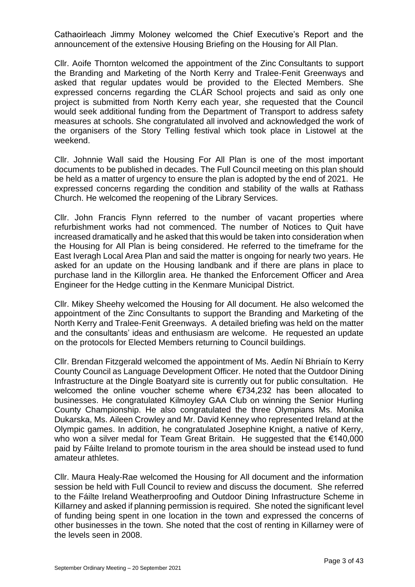Cathaoirleach Jimmy Moloney welcomed the Chief Executive's Report and the announcement of the extensive Housing Briefing on the Housing for All Plan.

Cllr. Aoife Thornton welcomed the appointment of the Zinc Consultants to support the Branding and Marketing of the North Kerry and Tralee-Fenit Greenways and asked that regular updates would be provided to the Elected Members. She expressed concerns regarding the CLÁR School projects and said as only one project is submitted from North Kerry each year, she requested that the Council would seek additional funding from the Department of Transport to address safety measures at schools. She congratulated all involved and acknowledged the work of the organisers of the Story Telling festival which took place in Listowel at the weekend.

Cllr. Johnnie Wall said the Housing For All Plan is one of the most important documents to be published in decades. The Full Council meeting on this plan should be held as a matter of urgency to ensure the plan is adopted by the end of 2021. He expressed concerns regarding the condition and stability of the walls at Rathass Church. He welcomed the reopening of the Library Services.

Cllr. John Francis Flynn referred to the number of vacant properties where refurbishment works had not commenced. The number of Notices to Quit have increased dramatically and he asked that this would be taken into consideration when the Housing for All Plan is being considered. He referred to the timeframe for the East Iveragh Local Area Plan and said the matter is ongoing for nearly two years. He asked for an update on the Housing landbank and if there are plans in place to purchase land in the Killorglin area. He thanked the Enforcement Officer and Area Engineer for the Hedge cutting in the Kenmare Municipal District.

Cllr. Mikey Sheehy welcomed the Housing for All document. He also welcomed the appointment of the Zinc Consultants to support the Branding and Marketing of the North Kerry and Tralee-Fenit Greenways. A detailed briefing was held on the matter and the consultants' ideas and enthusiasm are welcome. He requested an update on the protocols for Elected Members returning to Council buildings.

Cllr. Brendan Fitzgerald welcomed the appointment of Ms. Aedín Ní Bhriaín to Kerry County Council as Language Development Officer. He noted that the Outdoor Dining Infrastructure at the Dingle Boatyard site is currently out for public consultation. He welcomed the online voucher scheme where €734,232 has been allocated to businesses. He congratulated Kilmoyley GAA Club on winning the Senior Hurling County Championship. He also congratulated the three Olympians Ms. Monika Dukarska, Ms. Aileen Crowley and Mr. David Kenney who represented Ireland at the Olympic games. In addition, he congratulated Josephine Knight, a native of Kerry, who won a silver medal for Team Great Britain. He suggested that the €140,000 paid by Fáilte Ireland to promote tourism in the area should be instead used to fund amateur athletes.

Cllr. Maura Healy-Rae welcomed the Housing for All document and the information session be held with Full Council to review and discuss the document. She referred to the Fáilte Ireland Weatherproofing and Outdoor Dining Infrastructure Scheme in Killarney and asked if planning permission is required. She noted the significant level of funding being spent in one location in the town and expressed the concerns of other businesses in the town. She noted that the cost of renting in Killarney were of the levels seen in 2008.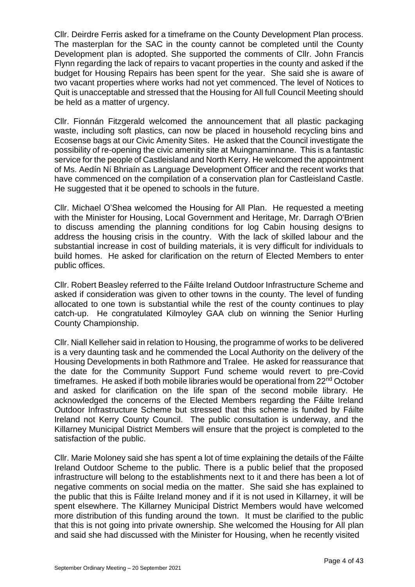Cllr. Deirdre Ferris asked for a timeframe on the County Development Plan process. The masterplan for the SAC in the county cannot be completed until the County Development plan is adopted. She supported the comments of Cllr. John Francis Flynn regarding the lack of repairs to vacant properties in the county and asked if the budget for Housing Repairs has been spent for the year. She said she is aware of two vacant properties where works had not yet commenced. The level of Notices to Quit is unacceptable and stressed that the Housing for All full Council Meeting should be held as a matter of urgency.

Cllr. Fionnán Fitzgerald welcomed the announcement that all plastic packaging waste, including soft plastics, can now be placed in household recycling bins and Ecosense bags at our Civic Amenity Sites. He asked that the Council investigate the possibility of re-opening the civic amenity site at Muingnaminnane. This is a fantastic service for the people of Castleisland and North Kerry. He welcomed the appointment of Ms. Aedín Ní Bhriaín as Language Development Officer and the recent works that have commenced on the compilation of a conservation plan for Castleisland Castle. He suggested that it be opened to schools in the future.

Cllr. Michael O'Shea welcomed the Housing for All Plan. He requested a meeting with the Minister for Housing, Local Government and Heritage, Mr. Darragh O'Brien to discuss amending the planning conditions for log Cabin housing designs to address the housing crisis in the country. With the lack of skilled labour and the substantial increase in cost of building materials, it is very difficult for individuals to build homes. He asked for clarification on the return of Elected Members to enter public offices.

Cllr. Robert Beasley referred to the Fáilte Ireland Outdoor Infrastructure Scheme and asked if consideration was given to other towns in the county. The level of funding allocated to one town is substantial while the rest of the county continues to play catch-up. He congratulated Kilmoyley GAA club on winning the Senior Hurling County Championship.

Cllr. Niall Kelleher said in relation to Housing, the programme of works to be delivered is a very daunting task and he commended the Local Authority on the delivery of the Housing Developments in both Rathmore and Tralee. He asked for reassurance that the date for the Community Support Fund scheme would revert to pre-Covid timeframes. He asked if both mobile libraries would be operational from 22<sup>nd</sup> October and asked for clarification on the life span of the second mobile library. He acknowledged the concerns of the Elected Members regarding the Fáilte Ireland Outdoor Infrastructure Scheme but stressed that this scheme is funded by Fáilte Ireland not Kerry County Council. The public consultation is underway, and the Killarney Municipal District Members will ensure that the project is completed to the satisfaction of the public.

Cllr. Marie Moloney said she has spent a lot of time explaining the details of the Fáilte Ireland Outdoor Scheme to the public. There is a public belief that the proposed infrastructure will belong to the establishments next to it and there has been a lot of negative comments on social media on the matter. She said she has explained to the public that this is Fáilte Ireland money and if it is not used in Killarney, it will be spent elsewhere. The Killarney Municipal District Members would have welcomed more distribution of this funding around the town. It must be clarified to the public that this is not going into private ownership. She welcomed the Housing for All plan and said she had discussed with the Minister for Housing, when he recently visited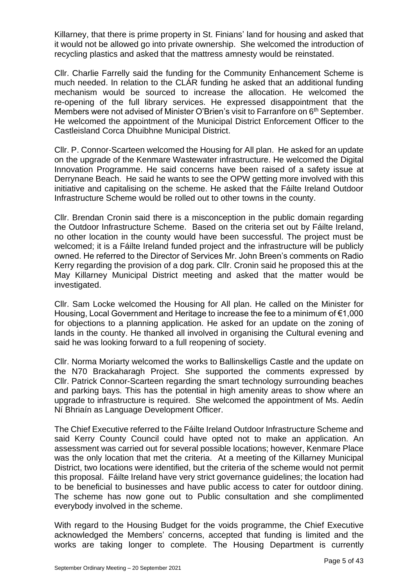Killarney, that there is prime property in St. Finians' land for housing and asked that it would not be allowed go into private ownership. She welcomed the introduction of recycling plastics and asked that the mattress amnesty would be reinstated.

Cllr. Charlie Farrelly said the funding for the Community Enhancement Scheme is much needed. In relation to the CLÁR funding he asked that an additional funding mechanism would be sourced to increase the allocation. He welcomed the re-opening of the full library services. He expressed disappointment that the Members were not advised of Minister O'Brien's visit to Farranfore on 6<sup>th</sup> September. He welcomed the appointment of the Municipal District Enforcement Officer to the Castleisland Corca Dhuibhne Municipal District.

Cllr. P. Connor-Scarteen welcomed the Housing for All plan. He asked for an update on the upgrade of the Kenmare Wastewater infrastructure. He welcomed the Digital Innovation Programme. He said concerns have been raised of a safety issue at Derrynane Beach. He said he wants to see the OPW getting more involved with this initiative and capitalising on the scheme. He asked that the Fáilte Ireland Outdoor Infrastructure Scheme would be rolled out to other towns in the county.

Cllr. Brendan Cronin said there is a misconception in the public domain regarding the Outdoor Infrastructure Scheme. Based on the criteria set out by Fáilte Ireland, no other location in the county would have been successful. The project must be welcomed; it is a Fáilte Ireland funded project and the infrastructure will be publicly owned. He referred to the Director of Services Mr. John Breen's comments on Radio Kerry regarding the provision of a dog park. Cllr. Cronin said he proposed this at the May Killarney Municipal District meeting and asked that the matter would be investigated.

Cllr. Sam Locke welcomed the Housing for All plan. He called on the Minister for Housing, Local Government and Heritage to increase the fee to a minimum of €1,000 for objections to a planning application. He asked for an update on the zoning of lands in the county. He thanked all involved in organising the Cultural evening and said he was looking forward to a full reopening of society.

Cllr. Norma Moriarty welcomed the works to Ballinskelligs Castle and the update on the N70 Brackaharagh Project. She supported the comments expressed by Cllr. Patrick Connor-Scarteen regarding the smart technology surrounding beaches and parking bays. This has the potential in high amenity areas to show where an upgrade to infrastructure is required. She welcomed the appointment of Ms. Aedín Ní Bhriaín as Language Development Officer.

The Chief Executive referred to the Fáilte Ireland Outdoor Infrastructure Scheme and said Kerry County Council could have opted not to make an application. An assessment was carried out for several possible locations; however, Kenmare Place was the only location that met the criteria. At a meeting of the Killarney Municipal District, two locations were identified, but the criteria of the scheme would not permit this proposal. Fáilte Ireland have very strict governance guidelines; the location had to be beneficial to businesses and have public access to cater for outdoor dining. The scheme has now gone out to Public consultation and she complimented everybody involved in the scheme.

With regard to the Housing Budget for the voids programme, the Chief Executive acknowledged the Members' concerns, accepted that funding is limited and the works are taking longer to complete. The Housing Department is currently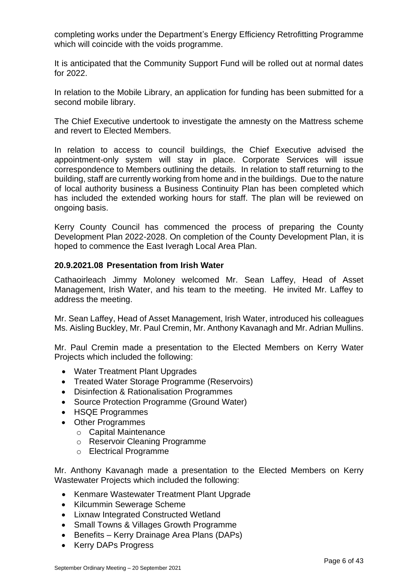completing works under the Department's Energy Efficiency Retrofitting Programme which will coincide with the voids programme.

It is anticipated that the Community Support Fund will be rolled out at normal dates for 2022.

In relation to the Mobile Library, an application for funding has been submitted for a second mobile library.

The Chief Executive undertook to investigate the amnesty on the Mattress scheme and revert to Elected Members.

In relation to access to council buildings, the Chief Executive advised the appointment-only system will stay in place. Corporate Services will issue correspondence to Members outlining the details. In relation to staff returning to the building, staff are currently working from home and in the buildings. Due to the nature of local authority business a Business Continuity Plan has been completed which has included the extended working hours for staff. The plan will be reviewed on ongoing basis.

Kerry County Council has commenced the process of preparing the County Development Plan 2022-2028. On completion of the County Development Plan, it is hoped to commence the East Iveragh Local Area Plan.

### **20.9.2021.08 Presentation from Irish Water**

Cathaoirleach Jimmy Moloney welcomed Mr. Sean Laffey, Head of Asset Management, Irish Water, and his team to the meeting. He invited Mr. Laffey to address the meeting.

Mr. Sean Laffey, Head of Asset Management, Irish Water, introduced his colleagues Ms. Aisling Buckley, Mr. Paul Cremin, Mr. Anthony Kavanagh and Mr. Adrian Mullins.

Mr. Paul Cremin made a presentation to the Elected Members on Kerry Water Projects which included the following:

- Water Treatment Plant Upgrades
- Treated Water Storage Programme (Reservoirs)
- Disinfection & Rationalisation Programmes
- Source Protection Programme (Ground Water)
- HSQE Programmes
- Other Programmes
	- o Capital Maintenance
	- o Reservoir Cleaning Programme
	- o Electrical Programme

Mr. Anthony Kavanagh made a presentation to the Elected Members on Kerry Wastewater Projects which included the following:

- Kenmare Wastewater Treatment Plant Upgrade
- Kilcummin Sewerage Scheme
- Lixnaw Integrated Constructed Wetland
- Small Towns & Villages Growth Programme
- Benefits Kerry Drainage Area Plans (DAPs)
- Kerry DAPs Progress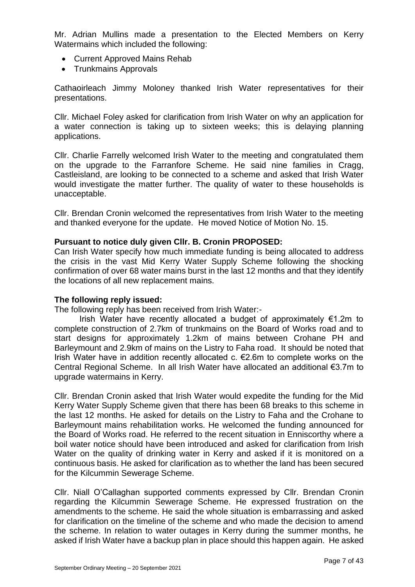Mr. Adrian Mullins made a presentation to the Elected Members on Kerry Watermains which included the following:

- Current Approved Mains Rehab
- Trunkmains Approvals

Cathaoirleach Jimmy Moloney thanked Irish Water representatives for their presentations.

Cllr. Michael Foley asked for clarification from Irish Water on why an application for a water connection is taking up to sixteen weeks; this is delaying planning applications.

Cllr. Charlie Farrelly welcomed Irish Water to the meeting and congratulated them on the upgrade to the Farranfore Scheme. He said nine families in Cragg, Castleisland, are looking to be connected to a scheme and asked that Irish Water would investigate the matter further. The quality of water to these households is unacceptable.

Cllr. Brendan Cronin welcomed the representatives from Irish Water to the meeting and thanked everyone for the update. He moved Notice of Motion No. 15.

#### **Pursuant to notice duly given Cllr. B. Cronin PROPOSED:**

Can Irish Water specify how much immediate funding is being allocated to address the crisis in the vast Mid Kerry Water Supply Scheme following the shocking confirmation of over 68 water mains burst in the last 12 months and that they identify the locations of all new replacement mains.

#### **The following reply issued:**

The following reply has been received from Irish Water:-

Irish Water have recently allocated a budget of approximately  $\epsilon$ 1.2m to complete construction of 2.7km of trunkmains on the Board of Works road and to start designs for approximately 1.2km of mains between Crohane PH and Barleymount and 2.9km of mains on the Listry to Faha road. It should be noted that Irish Water have in addition recently allocated c. €2.6m to complete works on the Central Regional Scheme. In all Irish Water have allocated an additional €3.7m to upgrade watermains in Kerry.

Cllr. Brendan Cronin asked that Irish Water would expedite the funding for the Mid Kerry Water Supply Scheme given that there has been 68 breaks to this scheme in the last 12 months. He asked for details on the Listry to Faha and the Crohane to Barleymount mains rehabilitation works. He welcomed the funding announced for the Board of Works road. He referred to the recent situation in Enniscorthy where a boil water notice should have been introduced and asked for clarification from Irish Water on the quality of drinking water in Kerry and asked if it is monitored on a continuous basis. He asked for clarification as to whether the land has been secured for the Kilcummin Sewerage Scheme.

Cllr. Niall O'Callaghan supported comments expressed by Cllr. Brendan Cronin regarding the Kilcummin Sewerage Scheme. He expressed frustration on the amendments to the scheme. He said the whole situation is embarrassing and asked for clarification on the timeline of the scheme and who made the decision to amend the scheme. In relation to water outages in Kerry during the summer months, he asked if Irish Water have a backup plan in place should this happen again. He asked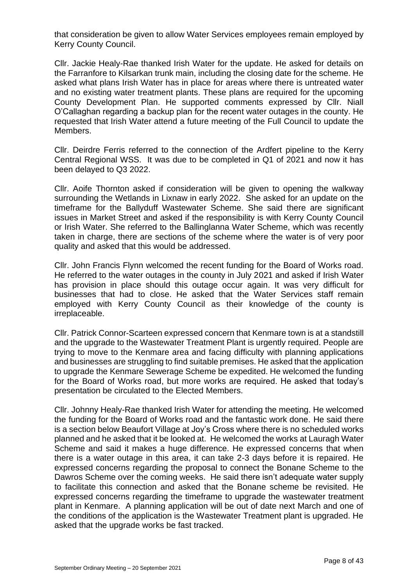that consideration be given to allow Water Services employees remain employed by Kerry County Council.

Cllr. Jackie Healy-Rae thanked Irish Water for the update. He asked for details on the Farranfore to Kilsarkan trunk main, including the closing date for the scheme. He asked what plans Irish Water has in place for areas where there is untreated water and no existing water treatment plants. These plans are required for the upcoming County Development Plan. He supported comments expressed by Cllr. Niall O'Callaghan regarding a backup plan for the recent water outages in the county. He requested that Irish Water attend a future meeting of the Full Council to update the Members.

Cllr. Deirdre Ferris referred to the connection of the Ardfert pipeline to the Kerry Central Regional WSS. It was due to be completed in Q1 of 2021 and now it has been delayed to Q3 2022.

Cllr. Aoife Thornton asked if consideration will be given to opening the walkway surrounding the Wetlands in Lixnaw in early 2022. She asked for an update on the timeframe for the Ballyduff Wastewater Scheme. She said there are significant issues in Market Street and asked if the responsibility is with Kerry County Council or Irish Water. She referred to the Ballinglanna Water Scheme, which was recently taken in charge, there are sections of the scheme where the water is of very poor quality and asked that this would be addressed.

Cllr. John Francis Flynn welcomed the recent funding for the Board of Works road. He referred to the water outages in the county in July 2021 and asked if Irish Water has provision in place should this outage occur again. It was very difficult for businesses that had to close. He asked that the Water Services staff remain employed with Kerry County Council as their knowledge of the county is irreplaceable.

Cllr. Patrick Connor-Scarteen expressed concern that Kenmare town is at a standstill and the upgrade to the Wastewater Treatment Plant is urgently required. People are trying to move to the Kenmare area and facing difficulty with planning applications and businesses are struggling to find suitable premises. He asked that the application to upgrade the Kenmare Sewerage Scheme be expedited. He welcomed the funding for the Board of Works road, but more works are required. He asked that today's presentation be circulated to the Elected Members.

Cllr. Johnny Healy-Rae thanked Irish Water for attending the meeting. He welcomed the funding for the Board of Works road and the fantastic work done. He said there is a section below Beaufort Village at Joy's Cross where there is no scheduled works planned and he asked that it be looked at. He welcomed the works at Lauragh Water Scheme and said it makes a huge difference. He expressed concerns that when there is a water outage in this area, it can take 2-3 days before it is repaired. He expressed concerns regarding the proposal to connect the Bonane Scheme to the Dawros Scheme over the coming weeks. He said there isn't adequate water supply to facilitate this connection and asked that the Bonane scheme be revisited. He expressed concerns regarding the timeframe to upgrade the wastewater treatment plant in Kenmare. A planning application will be out of date next March and one of the conditions of the application is the Wastewater Treatment plant is upgraded. He asked that the upgrade works be fast tracked.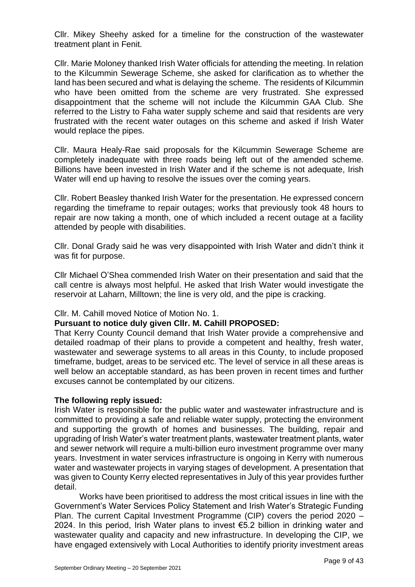Cllr. Mikey Sheehy asked for a timeline for the construction of the wastewater treatment plant in Fenit.

Cllr. Marie Moloney thanked Irish Water officials for attending the meeting. In relation to the Kilcummin Sewerage Scheme, she asked for clarification as to whether the land has been secured and what is delaying the scheme. The residents of Kilcummin who have been omitted from the scheme are very frustrated. She expressed disappointment that the scheme will not include the Kilcummin GAA Club. She referred to the Listry to Faha water supply scheme and said that residents are very frustrated with the recent water outages on this scheme and asked if Irish Water would replace the pipes.

Cllr. Maura Healy-Rae said proposals for the Kilcummin Sewerage Scheme are completely inadequate with three roads being left out of the amended scheme. Billions have been invested in Irish Water and if the scheme is not adequate, Irish Water will end up having to resolve the issues over the coming years.

Cllr. Robert Beasley thanked Irish Water for the presentation. He expressed concern regarding the timeframe to repair outages; works that previously took 48 hours to repair are now taking a month, one of which included a recent outage at a facility attended by people with disabilities.

Cllr. Donal Grady said he was very disappointed with Irish Water and didn't think it was fit for purpose.

Cllr Michael O'Shea commended Irish Water on their presentation and said that the call centre is always most helpful. He asked that Irish Water would investigate the reservoir at Laharn, Milltown; the line is very old, and the pipe is cracking.

# Cllr. M. Cahill moved Notice of Motion No. 1.

# **Pursuant to notice duly given Cllr. M. Cahill PROPOSED:**

That Kerry County Council demand that Irish Water provide a comprehensive and detailed roadmap of their plans to provide a competent and healthy, fresh water, wastewater and sewerage systems to all areas in this County, to include proposed timeframe, budget, areas to be serviced etc. The level of service in all these areas is well below an acceptable standard, as has been proven in recent times and further excuses cannot be contemplated by our citizens.

#### **The following reply issued:**

Irish Water is responsible for the public water and wastewater infrastructure and is committed to providing a safe and reliable water supply, protecting the environment and supporting the growth of homes and businesses. The building, repair and upgrading of Irish Water's water treatment plants, wastewater treatment plants, water and sewer network will require a multi-billion euro investment programme over many years. Investment in water services infrastructure is ongoing in Kerry with numerous water and wastewater projects in varying stages of development. A presentation that was given to County Kerry elected representatives in July of this year provides further detail.

Works have been prioritised to address the most critical issues in line with the Government's Water Services Policy Statement and Irish Water's Strategic Funding Plan. The current Capital Investment Programme (CIP) covers the period 2020 – 2024. In this period, Irish Water plans to invest €5.2 billion in drinking water and wastewater quality and capacity and new infrastructure. In developing the CIP, we have engaged extensively with Local Authorities to identify priority investment areas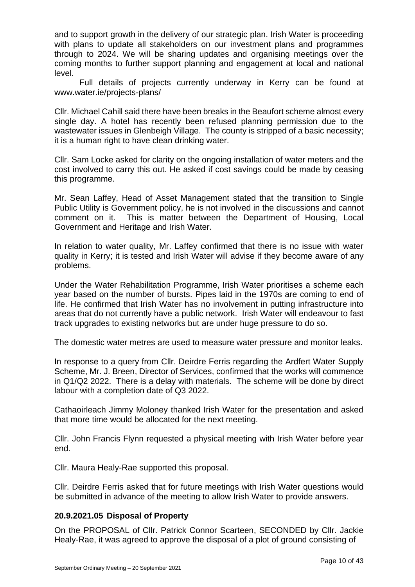and to support growth in the delivery of our strategic plan. Irish Water is proceeding with plans to update all stakeholders on our investment plans and programmes through to 2024. We will be sharing updates and organising meetings over the coming months to further support planning and engagement at local and national level.

Full details of projects currently underway in Kerry can be found at www.water.ie/projects-plans/

Cllr. Michael Cahill said there have been breaks in the Beaufort scheme almost every single day. A hotel has recently been refused planning permission due to the wastewater issues in Glenbeigh Village. The county is stripped of a basic necessity; it is a human right to have clean drinking water.

Cllr. Sam Locke asked for clarity on the ongoing installation of water meters and the cost involved to carry this out. He asked if cost savings could be made by ceasing this programme.

Mr. Sean Laffey, Head of Asset Management stated that the transition to Single Public Utility is Government policy, he is not involved in the discussions and cannot comment on it. This is matter between the Department of Housing, Local Government and Heritage and Irish Water.

In relation to water quality, Mr. Laffey confirmed that there is no issue with water quality in Kerry; it is tested and Irish Water will advise if they become aware of any problems.

Under the Water Rehabilitation Programme, Irish Water prioritises a scheme each year based on the number of bursts. Pipes laid in the 1970s are coming to end of life. He confirmed that Irish Water has no involvement in putting infrastructure into areas that do not currently have a public network. Irish Water will endeavour to fast track upgrades to existing networks but are under huge pressure to do so.

The domestic water metres are used to measure water pressure and monitor leaks.

In response to a query from Cllr. Deirdre Ferris regarding the Ardfert Water Supply Scheme, Mr. J. Breen, Director of Services, confirmed that the works will commence in Q1/Q2 2022. There is a delay with materials. The scheme will be done by direct labour with a completion date of Q3 2022.

Cathaoirleach Jimmy Moloney thanked Irish Water for the presentation and asked that more time would be allocated for the next meeting.

Cllr. John Francis Flynn requested a physical meeting with Irish Water before year end.

Cllr. Maura Healy-Rae supported this proposal.

Cllr. Deirdre Ferris asked that for future meetings with Irish Water questions would be submitted in advance of the meeting to allow Irish Water to provide answers.

# **20.9.2021.05 Disposal of Property**

On the PROPOSAL of Cllr. Patrick Connor Scarteen, SECONDED by Cllr. Jackie Healy-Rae, it was agreed to approve the disposal of a plot of ground consisting of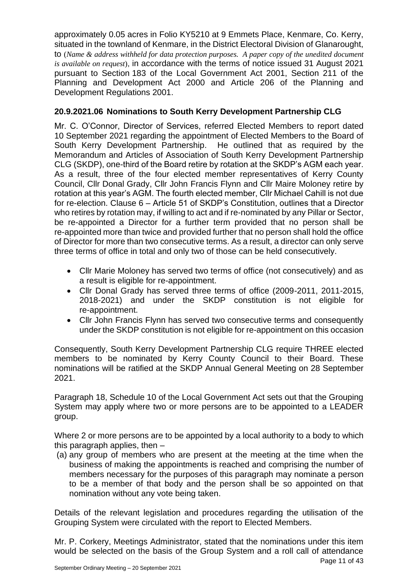approximately 0.05 acres in Folio KY5210 at 9 Emmets Place, Kenmare, Co. Kerry, situated in the townland of Kenmare, in the District Electoral Division of Glanarought, to (*Name & address withheld for data protection purposes. A paper copy of the unedited document is available on request*), in accordance with the terms of notice issued 31 August 2021 pursuant to Section 183 of the Local Government Act 2001, Section 211 of the Planning and Development Act 2000 and Article 206 of the Planning and Development Regulations 2001.

# **20.9.2021.06 Nominations to South Kerry Development Partnership CLG**

Mr. C. O'Connor, Director of Services, referred Elected Members to report dated 10 September 2021 regarding the appointment of Elected Members to the Board of South Kerry Development Partnership. He outlined that as required by the Memorandum and Articles of Association of South Kerry Development Partnership CLG (SKDP), one-third of the Board retire by rotation at the SKDP's AGM each year. As a result, three of the four elected member representatives of Kerry County Council, Cllr Donal Grady, Cllr John Francis Flynn and Cllr Maire Moloney retire by rotation at this year's AGM. The fourth elected member, Cllr Michael Cahill is not due for re-election. Clause 6 – Article 51 of SKDP's Constitution, outlines that a Director who retires by rotation may, if willing to act and if re-nominated by any Pillar or Sector, be re-appointed a Director for a further term provided that no person shall be re-appointed more than twice and provided further that no person shall hold the office of Director for more than two consecutive terms. As a result, a director can only serve three terms of office in total and only two of those can be held consecutively.

- Cllr Marie Moloney has served two terms of office (not consecutively) and as a result is eligible for re-appointment.
- Cllr Donal Grady has served three terms of office (2009-2011, 2011-2015, 2018-2021) and under the SKDP constitution is not eligible for re-appointment.
- Cllr John Francis Flynn has served two consecutive terms and consequently under the SKDP constitution is not eligible for re-appointment on this occasion

Consequently, South Kerry Development Partnership CLG require THREE elected members to be nominated by Kerry County Council to their Board. These nominations will be ratified at the SKDP Annual General Meeting on 28 September 2021.

Paragraph 18, Schedule 10 of the Local Government Act sets out that the Grouping System may apply where two or more persons are to be appointed to a LEADER group.

Where 2 or more persons are to be appointed by a local authority to a body to which this paragraph applies, then –

(a) any group of members who are present at the meeting at the time when the business of making the appointments is reached and comprising the number of members necessary for the purposes of this paragraph may nominate a person to be a member of that body and the person shall be so appointed on that nomination without any vote being taken.

Details of the relevant legislation and procedures regarding the utilisation of the Grouping System were circulated with the report to Elected Members.

Mr. P. Corkery, Meetings Administrator, stated that the nominations under this item would be selected on the basis of the Group System and a roll call of attendance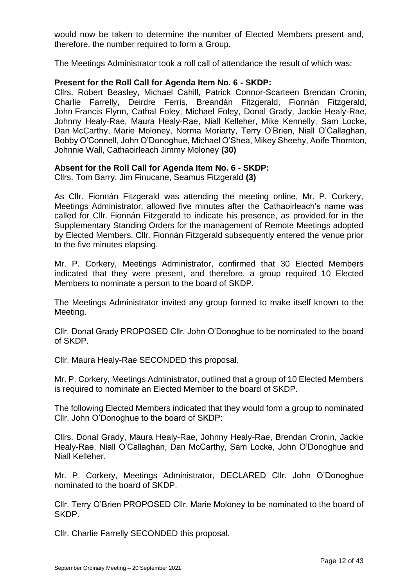would now be taken to determine the number of Elected Members present and, therefore, the number required to form a Group.

The Meetings Administrator took a roll call of attendance the result of which was:

### **Present for the Roll Call for Agenda Item No. 6 - SKDP:**

Cllrs. Robert Beasley, Michael Cahill, Patrick Connor-Scarteen Brendan Cronin, Charlie Farrelly, Deirdre Ferris, Breandán Fitzgerald, Fionnán Fitzgerald, John Francis Flynn, Cathal Foley, Michael Foley, Donal Grady, Jackie Healy-Rae, Johnny Healy-Rae, Maura Healy-Rae, Niall Kelleher, Mike Kennelly, Sam Locke, Dan McCarthy, Marie Moloney, Norma Moriarty, Terry O'Brien, Niall O'Callaghan, Bobby O'Connell, John O'Donoghue, Michael O'Shea, Mikey Sheehy, Aoife Thornton, Johnnie Wall, Cathaoirleach Jimmy Moloney **(30)**

### **Absent for the Roll Call for Agenda Item No. 6 - SKDP:**

Cllrs. Tom Barry, Jim Finucane, Seamus Fitzgerald **(3)**

As Cllr. Fionnán Fitzgerald was attending the meeting online, Mr. P. Corkery, Meetings Administrator, allowed five minutes after the Cathaoirleach's name was called for Cllr. Fionnán Fitzgerald to indicate his presence, as provided for in the Supplementary Standing Orders for the management of Remote Meetings adopted by Elected Members. Cllr. Fionnán Fitzgerald subsequently entered the venue prior to the five minutes elapsing.

Mr. P. Corkery, Meetings Administrator, confirmed that 30 Elected Members indicated that they were present, and therefore, a group required 10 Elected Members to nominate a person to the board of SKDP.

The Meetings Administrator invited any group formed to make itself known to the Meeting.

Cllr. Donal Grady PROPOSED Cllr. John O'Donoghue to be nominated to the board of SKDP.

Cllr. Maura Healy-Rae SECONDED this proposal.

Mr. P. Corkery, Meetings Administrator, outlined that a group of 10 Elected Members is required to nominate an Elected Member to the board of SKDP.

The following Elected Members indicated that they would form a group to nominated Cllr. John O'Donoghue to the board of SKDP:

Cllrs. Donal Grady, Maura Healy-Rae, Johnny Healy-Rae, Brendan Cronin, Jackie Healy-Rae, Niall O'Callaghan, Dan McCarthy, Sam Locke, John O'Donoghue and Niall Kelleher.

Mr. P. Corkery, Meetings Administrator, DECLARED Cllr. John O'Donoghue nominated to the board of SKDP.

Cllr. Terry O'Brien PROPOSED Cllr. Marie Moloney to be nominated to the board of SKDP.

Cllr. Charlie Farrelly SECONDED this proposal.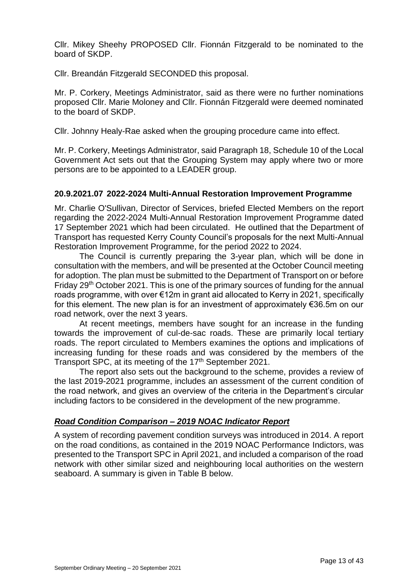Cllr. Mikey Sheehy PROPOSED Cllr. Fionnán Fitzgerald to be nominated to the board of SKDP.

Cllr. Breandán Fitzgerald SECONDED this proposal.

Mr. P. Corkery, Meetings Administrator, said as there were no further nominations proposed Cllr. Marie Moloney and Cllr. Fionnán Fitzgerald were deemed nominated to the board of SKDP.

Cllr. Johnny Healy-Rae asked when the grouping procedure came into effect.

Mr. P. Corkery, Meetings Administrator, said Paragraph 18, Schedule 10 of the Local Government Act sets out that the Grouping System may apply where two or more persons are to be appointed to a LEADER group.

### **20.9.2021.07 2022-2024 Multi-Annual Restoration Improvement Programme**

Mr. Charlie O'Sullivan, Director of Services, briefed Elected Members on the report regarding the 2022-2024 Multi-Annual Restoration Improvement Programme dated 17 September 2021 which had been circulated. He outlined that the Department of Transport has requested Kerry County Council's proposals for the next Multi-Annual Restoration Improvement Programme, for the period 2022 to 2024.

The Council is currently preparing the 3-year plan, which will be done in consultation with the members, and will be presented at the October Council meeting for adoption. The plan must be submitted to the Department of Transport on or before Friday 29th October 2021. This is one of the primary sources of funding for the annual roads programme, with over €12m in grant aid allocated to Kerry in 2021, specifically for this element. The new plan is for an investment of approximately €36.5m on our road network, over the next 3 years.

At recent meetings, members have sought for an increase in the funding towards the improvement of cul-de-sac roads. These are primarily local tertiary roads. The report circulated to Members examines the options and implications of increasing funding for these roads and was considered by the members of the Transport SPC, at its meeting of the 17<sup>th</sup> September 2021.

The report also sets out the background to the scheme, provides a review of the last 2019-2021 programme, includes an assessment of the current condition of the road network, and gives an overview of the criteria in the Department's circular including factors to be considered in the development of the new programme.

# *Road Condition Comparison – 2019 NOAC Indicator Report*

A system of recording pavement condition surveys was introduced in 2014. A report on the road conditions, as contained in the 2019 NOAC Performance Indictors, was presented to the Transport SPC in April 2021, and included a comparison of the road network with other similar sized and neighbouring local authorities on the western seaboard. A summary is given in Table B below.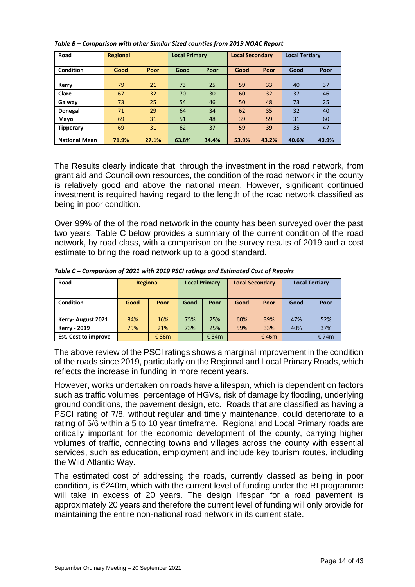| Road                 | <b>Regional</b> |       | <b>Local Primary</b> |              | <b>Local Secondary</b> |              | <b>Local Tertiary</b> |              |  |
|----------------------|-----------------|-------|----------------------|--------------|------------------------|--------------|-----------------------|--------------|--|
| Condition            | Good            | Poor  |                      | Good<br>Poor |                        | Poor<br>Good |                       | Good<br>Poor |  |
|                      |                 |       |                      |              |                        |              |                       |              |  |
| Kerry                | 79              | 21    | 73                   | 25           | 59                     | 33           | 40                    | 37           |  |
| Clare                | 67              | 32    | 70                   | 30           | 60                     | 32           | 37                    | 46           |  |
| Galway               | 73              | 25    | 54                   | 46           | 50                     | 48           | 73                    | 25           |  |
| Donegal              | 71              | 29    | 64                   | 34           | 62                     | 35           | 32                    | 40           |  |
| Mayo                 | 69              | 31    | 51                   | 48           | 39                     | 59           | 31                    | 60           |  |
| <b>Tipperary</b>     | 69              | 31    | 62                   | 37           | 59                     | 39           | 35                    | 47           |  |
|                      |                 |       |                      |              |                        |              |                       |              |  |
| <b>National Mean</b> | 71.9%           | 27.1% | 63.8%                | 34.4%        | 53.9%                  | 43.2%        | 40.6%                 | 40.9%        |  |

*Table B – Comparison with other Similar Sized counties from 2019 NOAC Report* 

The Results clearly indicate that, through the investment in the road network, from grant aid and Council own resources, the condition of the road network in the county is relatively good and above the national mean. However, significant continued investment is required having regard to the length of the road network classified as being in poor condition.

Over 99% of the of the road network in the county has been surveyed over the past two years. Table C below provides a summary of the current condition of the road network, by road class, with a comparison on the survey results of 2019 and a cost estimate to bring the road network up to a good standard.

| Road                        | <b>Regional</b> |          | <b>Local Primary</b> |          | <b>Local Secondary</b> |       | <b>Local Tertiary</b> |       |
|-----------------------------|-----------------|----------|----------------------|----------|------------------------|-------|-----------------------|-------|
| <b>Condition</b>            | Good            | Poor     | Good                 | Poor     | Good                   | Poor  | Good                  | Poor  |
|                             |                 |          |                      |          |                        |       |                       |       |
| Kerry-August 2021           | 84%             | 16%      | 75%                  | 25%      | 60%                    | 39%   | 47%                   | 52%   |
| <b>Kerry - 2019</b>         | 79%             | 21%      | 73%                  | 25%      | 59%                    | 33%   | 40%                   | 37%   |
| <b>Est. Cost to improve</b> |                 | € 86 $m$ |                      | € 34 $m$ |                        | € 46m |                       | € 74m |

*Table C – Comparison of 2021 with 2019 PSCI ratings and Estimated Cost of Repairs* 

The above review of the PSCI ratings shows a marginal improvement in the condition of the roads since 2019, particularly on the Regional and Local Primary Roads, which reflects the increase in funding in more recent years.

However, works undertaken on roads have a lifespan, which is dependent on factors such as traffic volumes, percentage of HGVs, risk of damage by flooding, underlying ground conditions, the pavement design, etc. Roads that are classified as having a PSCI rating of 7/8, without regular and timely maintenance, could deteriorate to a rating of 5/6 within a 5 to 10 year timeframe. Regional and Local Primary roads are critically important for the economic development of the county, carrying higher volumes of traffic, connecting towns and villages across the county with essential services, such as education, employment and include key tourism routes, including the Wild Atlantic Way.

The estimated cost of addressing the roads, currently classed as being in poor condition, is €240m, which with the current level of funding under the RI programme will take in excess of 20 years. The design lifespan for a road pavement is approximately 20 years and therefore the current level of funding will only provide for maintaining the entire non-national road network in its current state.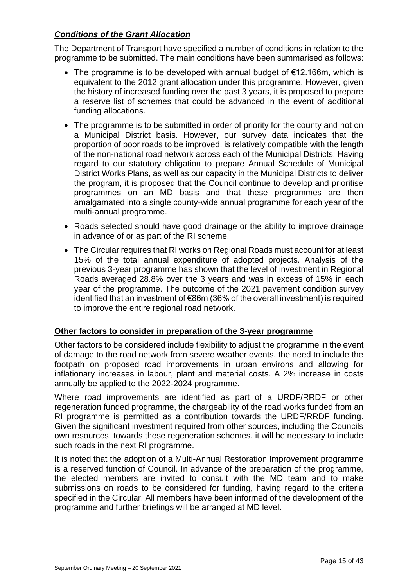# *Conditions of the Grant Allocation*

The Department of Transport have specified a number of conditions in relation to the programme to be submitted. The main conditions have been summarised as follows:

- The programme is to be developed with annual budget of €12.166m, which is equivalent to the 2012 grant allocation under this programme. However, given the history of increased funding over the past 3 years, it is proposed to prepare a reserve list of schemes that could be advanced in the event of additional funding allocations.
- The programme is to be submitted in order of priority for the county and not on a Municipal District basis. However, our survey data indicates that the proportion of poor roads to be improved, is relatively compatible with the length of the non-national road network across each of the Municipal Districts. Having regard to our statutory obligation to prepare Annual Schedule of Municipal District Works Plans, as well as our capacity in the Municipal Districts to deliver the program, it is proposed that the Council continue to develop and prioritise programmes on an MD basis and that these programmes are then amalgamated into a single county-wide annual programme for each year of the multi-annual programme.
- Roads selected should have good drainage or the ability to improve drainage in advance of or as part of the RI scheme.
- The Circular requires that RI works on Regional Roads must account for at least 15% of the total annual expenditure of adopted projects. Analysis of the previous 3-year programme has shown that the level of investment in Regional Roads averaged 28.8% over the 3 years and was in excess of 15% in each year of the programme. The outcome of the 2021 pavement condition survey identified that an investment of €86m (36% of the overall investment) is required to improve the entire regional road network.

# **Other factors to consider in preparation of the 3-year programme**

Other factors to be considered include flexibility to adjust the programme in the event of damage to the road network from severe weather events, the need to include the footpath on proposed road improvements in urban environs and allowing for inflationary increases in labour, plant and material costs. A 2% increase in costs annually be applied to the 2022-2024 programme.

Where road improvements are identified as part of a URDF/RRDF or other regeneration funded programme, the chargeability of the road works funded from an RI programme is permitted as a contribution towards the URDF/RRDF funding. Given the significant investment required from other sources, including the Councils own resources, towards these regeneration schemes, it will be necessary to include such roads in the next RI programme.

It is noted that the adoption of a Multi-Annual Restoration Improvement programme is a reserved function of Council. In advance of the preparation of the programme, the elected members are invited to consult with the MD team and to make submissions on roads to be considered for funding, having regard to the criteria specified in the Circular. All members have been informed of the development of the programme and further briefings will be arranged at MD level.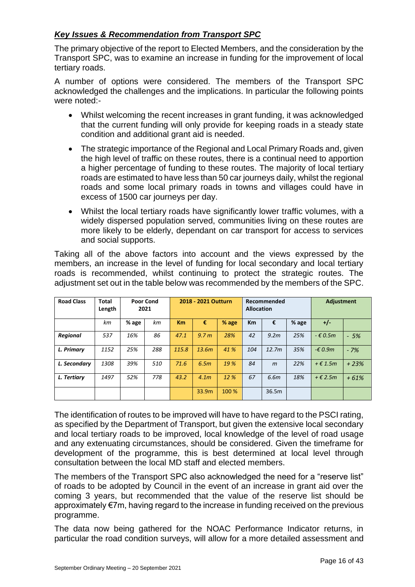# *Key Issues & Recommendation from Transport SPC*

The primary objective of the report to Elected Members, and the consideration by the Transport SPC, was to examine an increase in funding for the improvement of local tertiary roads.

A number of options were considered. The members of the Transport SPC acknowledged the challenges and the implications. In particular the following points were noted:-

- Whilst welcoming the recent increases in grant funding, it was acknowledged that the current funding will only provide for keeping roads in a steady state condition and additional grant aid is needed.
- The strategic importance of the Regional and Local Primary Roads and, given the high level of traffic on these routes, there is a continual need to apportion a higher percentage of funding to these routes. The majority of local tertiary roads are estimated to have less than 50 car journeys daily, whilst the regional roads and some local primary roads in towns and villages could have in excess of 1500 car journeys per day.
- Whilst the local tertiary roads have significantly lower traffic volumes, with a widely dispersed population served, communities living on these routes are more likely to be elderly, dependant on car transport for access to services and social supports.

Taking all of the above factors into account and the views expressed by the members, an increase in the level of funding for local secondary and local tertiary roads is recommended, whilst continuing to protect the strategic routes. The adjustment set out in the table below was recommended by the members of the SPC.

| <b>Road Class</b> | Total<br>Length |       | <b>Poor Cond</b><br>2021 | 2018 - 2021 Outturn |                  | Recommended<br><b>Allocation</b> |     |                   |       | <b>Adjustment</b>   |        |
|-------------------|-----------------|-------|--------------------------|---------------------|------------------|----------------------------------|-----|-------------------|-------|---------------------|--------|
|                   | km              | % age | kт                       | <b>Km</b>           | €                | % age                            | Km  | €                 | % age | +/-                 |        |
| <b>Regional</b>   | 537             | 16%   | 86                       | 47.1                | 9.7 <sub>m</sub> | 28%                              | 42  | 9.2 <sub>m</sub>  | 25%   | $ \epsilon$ 0.5m    | $-5%$  |
| L. Primary        | 1152            | 25%   | 288                      | 115.8               | 13.6m            | 41 %                             | 104 | 12.7 <sub>m</sub> | 35%   | $-£$ 0.9m           | $-7%$  |
| L. Secondary      | 1308            | 39%   | 510                      | 71.6                | 6.5m             | 19 %                             | 84  | $\mathsf{m}$      | 22%   | $+$ $\epsilon$ 1.5m | $+23%$ |
| L. Tertiary       | 1497            | 52%   | 778                      | 43.2                | 4.1 <sub>m</sub> | 12 %                             | 67  | 6.6 <sub>m</sub>  | 18%   | $+$ $\epsilon$ 2.5m | $+61%$ |
|                   |                 |       |                          |                     | 33.9m            | 100 %                            |     | 36.5m             |       |                     |        |

The identification of routes to be improved will have to have regard to the PSCI rating, as specified by the Department of Transport, but given the extensive local secondary and local tertiary roads to be improved, local knowledge of the level of road usage and any extenuating circumstances, should be considered. Given the timeframe for development of the programme, this is best determined at local level through consultation between the local MD staff and elected members.

The members of the Transport SPC also acknowledged the need for a "reserve list" of roads to be adopted by Council in the event of an increase in grant aid over the coming 3 years, but recommended that the value of the reserve list should be approximately €7m, having regard to the increase in funding received on the previous programme.

The data now being gathered for the NOAC Performance Indicator returns, in particular the road condition surveys, will allow for a more detailed assessment and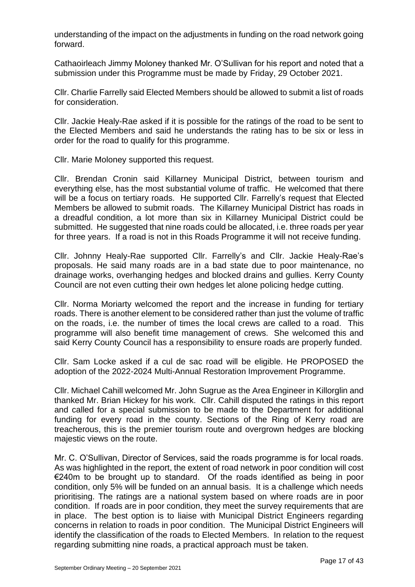understanding of the impact on the adjustments in funding on the road network going forward.

Cathaoirleach Jimmy Moloney thanked Mr. O'Sullivan for his report and noted that a submission under this Programme must be made by Friday, 29 October 2021.

Cllr. Charlie Farrelly said Elected Members should be allowed to submit a list of roads for consideration.

Cllr. Jackie Healy-Rae asked if it is possible for the ratings of the road to be sent to the Elected Members and said he understands the rating has to be six or less in order for the road to qualify for this programme.

Cllr. Marie Moloney supported this request.

Cllr. Brendan Cronin said Killarney Municipal District, between tourism and everything else, has the most substantial volume of traffic. He welcomed that there will be a focus on tertiary roads. He supported Cllr. Farrelly's request that Elected Members be allowed to submit roads. The Killarney Municipal District has roads in a dreadful condition, a lot more than six in Killarney Municipal District could be submitted. He suggested that nine roads could be allocated, i.e. three roads per year for three years. If a road is not in this Roads Programme it will not receive funding.

Cllr. Johnny Healy-Rae supported Cllr. Farrelly's and Cllr. Jackie Healy-Rae's proposals. He said many roads are in a bad state due to poor maintenance, no drainage works, overhanging hedges and blocked drains and gullies. Kerry County Council are not even cutting their own hedges let alone policing hedge cutting.

Cllr. Norma Moriarty welcomed the report and the increase in funding for tertiary roads. There is another element to be considered rather than just the volume of traffic on the roads, i.e. the number of times the local crews are called to a road. This programme will also benefit time management of crews. She welcomed this and said Kerry County Council has a responsibility to ensure roads are properly funded.

Cllr. Sam Locke asked if a cul de sac road will be eligible. He PROPOSED the adoption of the 2022-2024 Multi-Annual Restoration Improvement Programme.

Cllr. Michael Cahill welcomed Mr. John Sugrue as the Area Engineer in Killorglin and thanked Mr. Brian Hickey for his work. Cllr. Cahill disputed the ratings in this report and called for a special submission to be made to the Department for additional funding for every road in the county. Sections of the Ring of Kerry road are treacherous, this is the premier tourism route and overgrown hedges are blocking majestic views on the route.

Mr. C. O'Sullivan, Director of Services, said the roads programme is for local roads. As was highlighted in the report, the extent of road network in poor condition will cost €240m to be brought up to standard. Of the roads identified as being in poor condition, only 5% will be funded on an annual basis. It is a challenge which needs prioritising. The ratings are a national system based on where roads are in poor condition. If roads are in poor condition, they meet the survey requirements that are in place. The best option is to liaise with Municipal District Engineers regarding concerns in relation to roads in poor condition. The Municipal District Engineers will identify the classification of the roads to Elected Members. In relation to the request regarding submitting nine roads, a practical approach must be taken.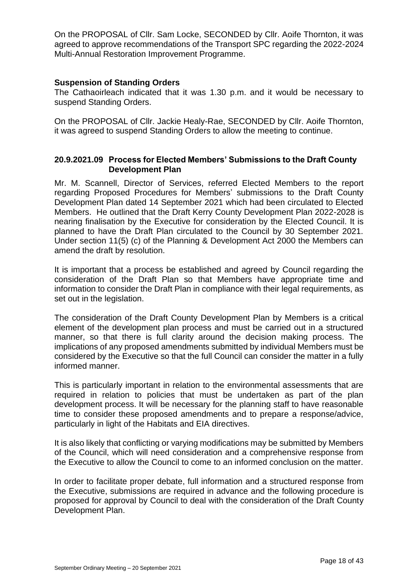On the PROPOSAL of Cllr. Sam Locke, SECONDED by Cllr. Aoife Thornton, it was agreed to approve recommendations of the Transport SPC regarding the 2022-2024 Multi-Annual Restoration Improvement Programme.

### **Suspension of Standing Orders**

The Cathaoirleach indicated that it was 1.30 p.m. and it would be necessary to suspend Standing Orders.

On the PROPOSAL of Cllr. Jackie Healy-Rae, SECONDED by Cllr. Aoife Thornton, it was agreed to suspend Standing Orders to allow the meeting to continue.

### **20.9.2021.09 Process for Elected Members' Submissions to the Draft County Development Plan**

Mr. M. Scannell, Director of Services, referred Elected Members to the report regarding Proposed Procedures for Members' submissions to the Draft County Development Plan dated 14 September 2021 which had been circulated to Elected Members. He outlined that the Draft Kerry County Development Plan 2022-2028 is nearing finalisation by the Executive for consideration by the Elected Council. It is planned to have the Draft Plan circulated to the Council by 30 September 2021. Under section 11(5) (c) of the Planning & Development Act 2000 the Members can amend the draft by resolution.

It is important that a process be established and agreed by Council regarding the consideration of the Draft Plan so that Members have appropriate time and information to consider the Draft Plan in compliance with their legal requirements, as set out in the legislation.

The consideration of the Draft County Development Plan by Members is a critical element of the development plan process and must be carried out in a structured manner, so that there is full clarity around the decision making process. The implications of any proposed amendments submitted by individual Members must be considered by the Executive so that the full Council can consider the matter in a fully informed manner.

This is particularly important in relation to the environmental assessments that are required in relation to policies that must be undertaken as part of the plan development process. It will be necessary for the planning staff to have reasonable time to consider these proposed amendments and to prepare a response/advice, particularly in light of the Habitats and EIA directives.

It is also likely that conflicting or varying modifications may be submitted by Members of the Council, which will need consideration and a comprehensive response from the Executive to allow the Council to come to an informed conclusion on the matter.

In order to facilitate proper debate, full information and a structured response from the Executive, submissions are required in advance and the following procedure is proposed for approval by Council to deal with the consideration of the Draft County Development Plan.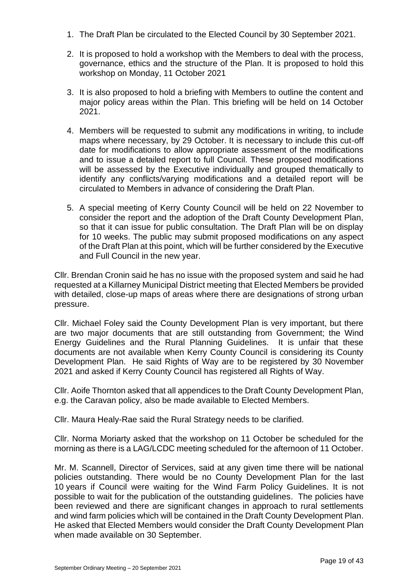- 1. The Draft Plan be circulated to the Elected Council by 30 September 2021.
- 2. It is proposed to hold a workshop with the Members to deal with the process, governance, ethics and the structure of the Plan. It is proposed to hold this workshop on Monday, 11 October 2021
- 3. It is also proposed to hold a briefing with Members to outline the content and major policy areas within the Plan. This briefing will be held on 14 October 2021.
- 4. Members will be requested to submit any modifications in writing, to include maps where necessary, by 29 October. It is necessary to include this cut-off date for modifications to allow appropriate assessment of the modifications and to issue a detailed report to full Council. These proposed modifications will be assessed by the Executive individually and grouped thematically to identify any conflicts/varying modifications and a detailed report will be circulated to Members in advance of considering the Draft Plan.
- 5. A special meeting of Kerry County Council will be held on 22 November to consider the report and the adoption of the Draft County Development Plan, so that it can issue for public consultation. The Draft Plan will be on display for 10 weeks. The public may submit proposed modifications on any aspect of the Draft Plan at this point, which will be further considered by the Executive and Full Council in the new year.

Cllr. Brendan Cronin said he has no issue with the proposed system and said he had requested at a Killarney Municipal District meeting that Elected Members be provided with detailed, close-up maps of areas where there are designations of strong urban pressure.

Cllr. Michael Foley said the County Development Plan is very important, but there are two major documents that are still outstanding from Government; the Wind Energy Guidelines and the Rural Planning Guidelines. It is unfair that these documents are not available when Kerry County Council is considering its County Development Plan. He said Rights of Way are to be registered by 30 November 2021 and asked if Kerry County Council has registered all Rights of Way.

Cllr. Aoife Thornton asked that all appendices to the Draft County Development Plan, e.g. the Caravan policy, also be made available to Elected Members.

Cllr. Maura Healy-Rae said the Rural Strategy needs to be clarified.

Cllr. Norma Moriarty asked that the workshop on 11 October be scheduled for the morning as there is a LAG/LCDC meeting scheduled for the afternoon of 11 October.

Mr. M. Scannell, Director of Services, said at any given time there will be national policies outstanding. There would be no County Development Plan for the last 10 years if Council were waiting for the Wind Farm Policy Guidelines. It is not possible to wait for the publication of the outstanding guidelines. The policies have been reviewed and there are significant changes in approach to rural settlements and wind farm policies which will be contained in the Draft County Development Plan. He asked that Elected Members would consider the Draft County Development Plan when made available on 30 September.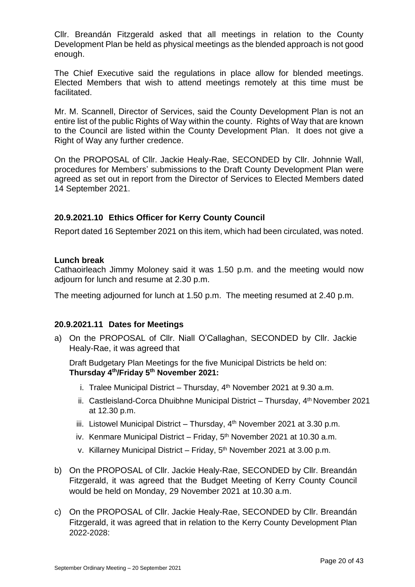Cllr. Breandán Fitzgerald asked that all meetings in relation to the County Development Plan be held as physical meetings as the blended approach is not good enough.

The Chief Executive said the regulations in place allow for blended meetings. Elected Members that wish to attend meetings remotely at this time must be facilitated.

Mr. M. Scannell, Director of Services, said the County Development Plan is not an entire list of the public Rights of Way within the county. Rights of Way that are known to the Council are listed within the County Development Plan. It does not give a Right of Way any further credence.

On the PROPOSAL of Cllr. Jackie Healy-Rae, SECONDED by Cllr. Johnnie Wall, procedures for Members' submissions to the Draft County Development Plan were agreed as set out in report from the Director of Services to Elected Members dated 14 September 2021.

# **20.9.2021.10 Ethics Officer for Kerry County Council**

Report dated 16 September 2021 on this item, which had been circulated, was noted.

#### **Lunch break**

Cathaoirleach Jimmy Moloney said it was 1.50 p.m. and the meeting would now adjourn for lunch and resume at 2.30 p.m.

The meeting adjourned for lunch at 1.50 p.m. The meeting resumed at 2.40 p.m.

### **20.9.2021.11 Dates for Meetings**

a) On the PROPOSAL of Cllr. Niall O'Callaghan, SECONDED by Cllr. Jackie Healy-Rae, it was agreed that

Draft Budgetary Plan Meetings for the five Municipal Districts be held on: **Thursday 4th/Friday 5th November 2021:** 

- i. Tralee Municipal District Thursday,  $4<sup>th</sup>$  November 2021 at 9.30 a.m.
- ii. Castleisland-Corca Dhuibhne Municipal District Thursday, 4th November 2021 at 12.30 p.m.
- iii. Listowel Municipal District Thursday,  $4<sup>th</sup>$  November 2021 at 3.30 p.m.
- iv. Kenmare Municipal District Friday,  $5<sup>th</sup>$  November 2021 at 10.30 a.m.
- v. Killarney Municipal District Friday, 5th November 2021 at 3.00 p.m.
- b) On the PROPOSAL of Cllr. Jackie Healy-Rae, SECONDED by Cllr. Breandán Fitzgerald, it was agreed that the Budget Meeting of Kerry County Council would be held on Monday, 29 November 2021 at 10.30 a.m.
- c) On the PROPOSAL of Cllr. Jackie Healy-Rae, SECONDED by Cllr. Breandán Fitzgerald, it was agreed that in relation to the Kerry County Development Plan 2022-2028: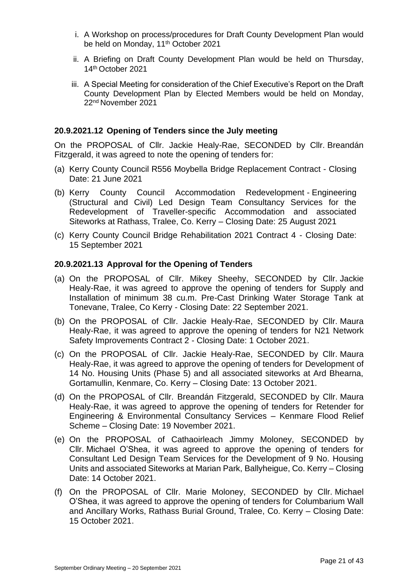- i. A Workshop on process/procedures for Draft County Development Plan would be held on Monday, 11<sup>th</sup> October 2021
- ii. A Briefing on Draft County Development Plan would be held on Thursday, 14th October 2021
- iii. A Special Meeting for consideration of the Chief Executive's Report on the Draft County Development Plan by Elected Members would be held on Monday, 22nd November 2021

### **20.9.2021.12 Opening of Tenders since the July meeting**

On the PROPOSAL of Cllr. Jackie Healy-Rae, SECONDED by Cllr. Breandán Fitzgerald, it was agreed to note the opening of tenders for:

- (a) Kerry County Council R556 Moybella Bridge Replacement Contract Closing Date: 21 June 2021
- (b) Kerry County Council Accommodation Redevelopment Engineering (Structural and Civil) Led Design Team Consultancy Services for the Redevelopment of Traveller-specific Accommodation and associated Siteworks at Rathass, Tralee, Co. Kerry – Closing Date: 25 August 2021
- (c) Kerry County Council Bridge Rehabilitation 2021 Contract 4 Closing Date: 15 September 2021

#### **20.9.2021.13 Approval for the Opening of Tenders**

- (a) On the PROPOSAL of Cllr. Mikey Sheehy, SECONDED by Cllr. Jackie Healy-Rae, it was agreed to approve the opening of tenders for Supply and Installation of minimum 38 cu.m. Pre-Cast Drinking Water Storage Tank at Tonevane, Tralee, Co Kerry - Closing Date: 22 September 2021.
- (b) On the PROPOSAL of Cllr. Jackie Healy-Rae, SECONDED by Cllr. Maura Healy-Rae, it was agreed to approve the opening of tenders for N21 Network Safety Improvements Contract 2 - Closing Date: 1 October 2021.
- (c) On the PROPOSAL of Cllr. Jackie Healy-Rae, SECONDED by Cllr. Maura Healy-Rae, it was agreed to approve the opening of tenders for Development of 14 No. Housing Units (Phase 5) and all associated siteworks at Ard Bhearna, Gortamullin, Kenmare, Co. Kerry – Closing Date: 13 October 2021.
- (d) On the PROPOSAL of Cllr. Breandán Fitzgerald, SECONDED by Cllr. Maura Healy-Rae, it was agreed to approve the opening of tenders for Retender for Engineering & Environmental Consultancy Services – Kenmare Flood Relief Scheme – Closing Date: 19 November 2021.
- (e) On the PROPOSAL of Cathaoirleach Jimmy Moloney, SECONDED by Cllr. Michael O'Shea, it was agreed to approve the opening of tenders for Consultant Led Design Team Services for the Development of 9 No. Housing Units and associated Siteworks at Marian Park, Ballyheigue, Co. Kerry – Closing Date: 14 October 2021.
- (f) On the PROPOSAL of Cllr. Marie Moloney, SECONDED by Cllr. Michael O'Shea, it was agreed to approve the opening of tenders for Columbarium Wall and Ancillary Works, Rathass Burial Ground, Tralee, Co. Kerry – Closing Date: 15 October 2021.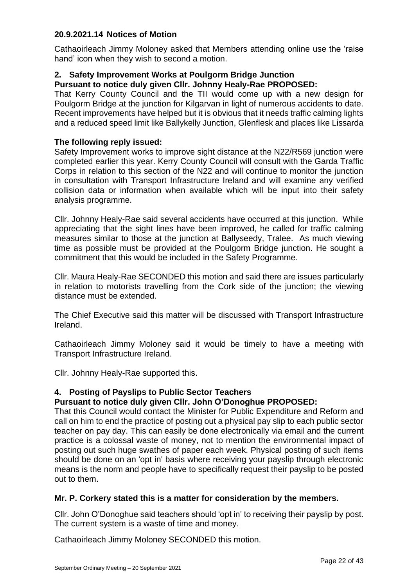# **20.9.2021.14 Notices of Motion**

Cathaoirleach Jimmy Moloney asked that Members attending online use the 'raise hand' icon when they wish to second a motion.

# **2. Safety Improvement Works at Poulgorm Bridge Junction**

### **Pursuant to notice duly given Cllr. Johnny Healy-Rae PROPOSED:**

That Kerry County Council and the TII would come up with a new design for Poulgorm Bridge at the junction for Kilgarvan in light of numerous accidents to date. Recent improvements have helped but it is obvious that it needs traffic calming lights and a reduced speed limit like Ballykelly Junction, Glenflesk and places like Lissarda

### **The following reply issued:**

Safety Improvement works to improve sight distance at the N22/R569 junction were completed earlier this year. Kerry County Council will consult with the Garda Traffic Corps in relation to this section of the N22 and will continue to monitor the junction in consultation with Transport Infrastructure Ireland and will examine any verified collision data or information when available which will be input into their safety analysis programme.

Cllr. Johnny Healy-Rae said several accidents have occurred at this junction. While appreciating that the sight lines have been improved, he called for traffic calming measures similar to those at the junction at Ballyseedy, Tralee. As much viewing time as possible must be provided at the Poulgorm Bridge junction. He sought a commitment that this would be included in the Safety Programme.

Cllr. Maura Healy-Rae SECONDED this motion and said there are issues particularly in relation to motorists travelling from the Cork side of the junction; the viewing distance must be extended.

The Chief Executive said this matter will be discussed with Transport Infrastructure Ireland.

Cathaoirleach Jimmy Moloney said it would be timely to have a meeting with Transport Infrastructure Ireland.

Cllr. Johnny Healy-Rae supported this.

# **4. Posting of Payslips to Public Sector Teachers**

#### **Pursuant to notice duly given Cllr. John O'Donoghue PROPOSED:**

That this Council would contact the Minister for Public Expenditure and Reform and call on him to end the practice of posting out a physical pay slip to each public sector teacher on pay day. This can easily be done electronically via email and the current practice is a colossal waste of money, not to mention the environmental impact of posting out such huge swathes of paper each week. Physical posting of such items should be done on an 'opt in' basis where receiving your payslip through electronic means is the norm and people have to specifically request their payslip to be posted out to them.

#### **Mr. P. Corkery stated this is a matter for consideration by the members.**

Cllr. John O'Donoghue said teachers should 'opt in' to receiving their payslip by post. The current system is a waste of time and money.

Cathaoirleach Jimmy Moloney SECONDED this motion.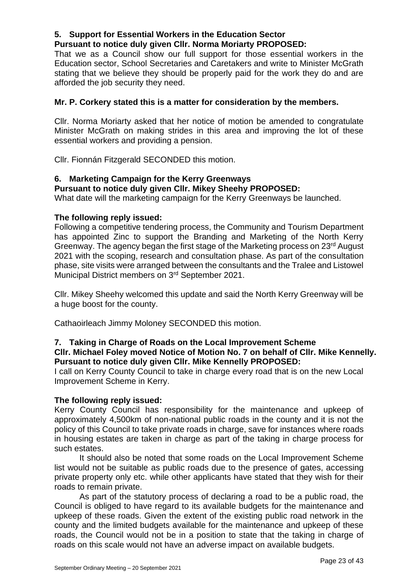# **5. Support for Essential Workers in the Education Sector**

# **Pursuant to notice duly given Cllr. Norma Moriarty PROPOSED:**

That we as a Council show our full support for those essential workers in the Education sector, School Secretaries and Caretakers and write to Minister McGrath stating that we believe they should be properly paid for the work they do and are afforded the job security they need.

# **Mr. P. Corkery stated this is a matter for consideration by the members.**

Cllr. Norma Moriarty asked that her notice of motion be amended to congratulate Minister McGrath on making strides in this area and improving the lot of these essential workers and providing a pension.

Cllr. Fionnán Fitzgerald SECONDED this motion.

# **6. Marketing Campaign for the Kerry Greenways**

### **Pursuant to notice duly given Cllr. Mikey Sheehy PROPOSED:**

What date will the marketing campaign for the Kerry Greenways be launched.

### **The following reply issued:**

Following a competitive tendering process, the Community and Tourism Department has appointed Zinc to support the Branding and Marketing of the North Kerry Greenway. The agency began the first stage of the Marketing process on 23rd August 2021 with the scoping, research and consultation phase. As part of the consultation phase, site visits were arranged between the consultants and the Tralee and Listowel Municipal District members on 3<sup>rd</sup> September 2021.

Cllr. Mikey Sheehy welcomed this update and said the North Kerry Greenway will be a huge boost for the county.

Cathaoirleach Jimmy Moloney SECONDED this motion.

# **7. Taking in Charge of Roads on the Local Improvement Scheme**

### **Cllr. Michael Foley moved Notice of Motion No. 7 on behalf of Cllr. Mike Kennelly. Pursuant to notice duly given Cllr. Mike Kennelly PROPOSED:**

I call on Kerry County Council to take in charge every road that is on the new Local Improvement Scheme in Kerry.

#### **The following reply issued:**

Kerry County Council has responsibility for the maintenance and upkeep of approximately 4,500km of non-national public roads in the county and it is not the policy of this Council to take private roads in charge, save for instances where roads in housing estates are taken in charge as part of the taking in charge process for such estates.

It should also be noted that some roads on the Local Improvement Scheme list would not be suitable as public roads due to the presence of gates, accessing private property only etc. while other applicants have stated that they wish for their roads to remain private.

As part of the statutory process of declaring a road to be a public road, the Council is obliged to have regard to its available budgets for the maintenance and upkeep of these roads. Given the extent of the existing public road network in the county and the limited budgets available for the maintenance and upkeep of these roads, the Council would not be in a position to state that the taking in charge of roads on this scale would not have an adverse impact on available budgets.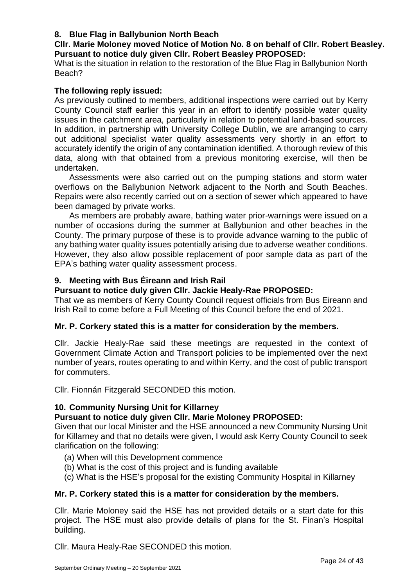# **8. Blue Flag in Ballybunion North Beach**

# **Cllr. Marie Moloney moved Notice of Motion No. 8 on behalf of Cllr. Robert Beasley. Pursuant to notice duly given Cllr. Robert Beasley PROPOSED:**

What is the situation in relation to the restoration of the Blue Flag in Ballybunion North Beach?

# **The following reply issued:**

As previously outlined to members, additional inspections were carried out by Kerry County Council staff earlier this year in an effort to identify possible water quality issues in the catchment area, particularly in relation to potential land-based sources. In addition, in partnership with University College Dublin, we are arranging to carry out additional specialist water quality assessments very shortly in an effort to accurately identify the origin of any contamination identified. A thorough review of this data, along with that obtained from a previous monitoring exercise, will then be undertaken.

Assessments were also carried out on the pumping stations and storm water overflows on the Ballybunion Network adjacent to the North and South Beaches. Repairs were also recently carried out on a section of sewer which appeared to have been damaged by private works.

As members are probably aware, bathing water prior-warnings were issued on a number of occasions during the summer at Ballybunion and other beaches in the County. The primary purpose of these is to provide advance warning to the public of any bathing water quality issues potentially arising due to adverse weather conditions. However, they also allow possible replacement of poor sample data as part of the EPA's bathing water quality assessment process.

# **9. Meeting with Bus Éireann and Irish Rail**

# **Pursuant to notice duly given Cllr. Jackie Healy-Rae PROPOSED:**

That we as members of Kerry County Council request officials from Bus Eireann and Irish Rail to come before a Full Meeting of this Council before the end of 2021.

# **Mr. P. Corkery stated this is a matter for consideration by the members.**

Cllr. Jackie Healy-Rae said these meetings are requested in the context of Government Climate Action and Transport policies to be implemented over the next number of years, routes operating to and within Kerry, and the cost of public transport for commuters.

Cllr. Fionnán Fitzgerald SECONDED this motion.

# **10. Community Nursing Unit for Killarney**

# **Pursuant to notice duly given Cllr. Marie Moloney PROPOSED:**

Given that our local Minister and the HSE announced a new Community Nursing Unit for Killarney and that no details were given, I would ask Kerry County Council to seek clarification on the following:

- (a) When will this Development commence
- (b) What is the cost of this project and is funding available
- (c) What is the HSE's proposal for the existing Community Hospital in Killarney

# **Mr. P. Corkery stated this is a matter for consideration by the members.**

Cllr. Marie Moloney said the HSE has not provided details or a start date for this project. The HSE must also provide details of plans for the St. Finan's Hospital building.

Cllr. Maura Healy-Rae SECONDED this motion.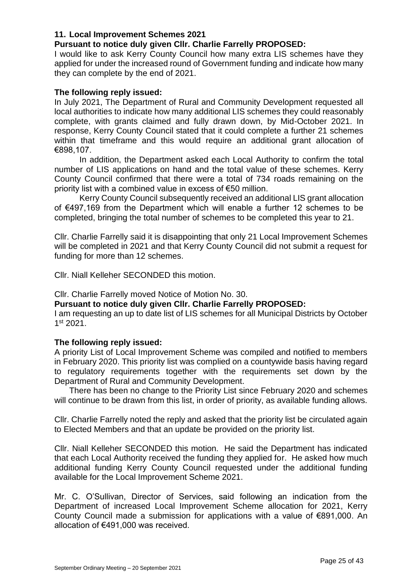## **11. Local Improvement Schemes 2021**

### **Pursuant to notice duly given Cllr. Charlie Farrelly PROPOSED:**

I would like to ask Kerry County Council how many extra LIS schemes have they applied for under the increased round of Government funding and indicate how many they can complete by the end of 2021.

### **The following reply issued:**

In July 2021, The Department of Rural and Community Development requested all local authorities to indicate how many additional LIS schemes they could reasonably complete, with grants claimed and fully drawn down, by Mid-October 2021. In response, Kerry County Council stated that it could complete a further 21 schemes within that timeframe and this would require an additional grant allocation of €898,107.

In addition, the Department asked each Local Authority to confirm the total number of LIS applications on hand and the total value of these schemes. Kerry County Council confirmed that there were a total of 734 roads remaining on the priority list with a combined value in excess of €50 million.

Kerry County Council subsequently received an additional LIS grant allocation of €497,169 from the Department which will enable a further 12 schemes to be completed, bringing the total number of schemes to be completed this year to 21.

Cllr. Charlie Farrelly said it is disappointing that only 21 Local Improvement Schemes will be completed in 2021 and that Kerry County Council did not submit a request for funding for more than 12 schemes.

Cllr. Niall Kelleher SECONDED this motion.

Cllr. Charlie Farrelly moved Notice of Motion No. 30.

### **Pursuant to notice duly given Cllr. Charlie Farrelly PROPOSED:**

I am requesting an up to date list of LIS schemes for all Municipal Districts by October 1 st 2021.

#### **The following reply issued:**

A priority List of Local Improvement Scheme was compiled and notified to members in February 2020. This priority list was complied on a countywide basis having regard to regulatory requirements together with the requirements set down by the Department of Rural and Community Development.

There has been no change to the Priority List since February 2020 and schemes will continue to be drawn from this list, in order of priority, as available funding allows.

Cllr. Charlie Farrelly noted the reply and asked that the priority list be circulated again to Elected Members and that an update be provided on the priority list.

Cllr. Niall Kelleher SECONDED this motion. He said the Department has indicated that each Local Authority received the funding they applied for. He asked how much additional funding Kerry County Council requested under the additional funding available for the Local Improvement Scheme 2021.

Mr. C. O'Sullivan, Director of Services, said following an indication from the Department of increased Local Improvement Scheme allocation for 2021, Kerry County Council made a submission for applications with a value of €891,000. An allocation of €491,000 was received.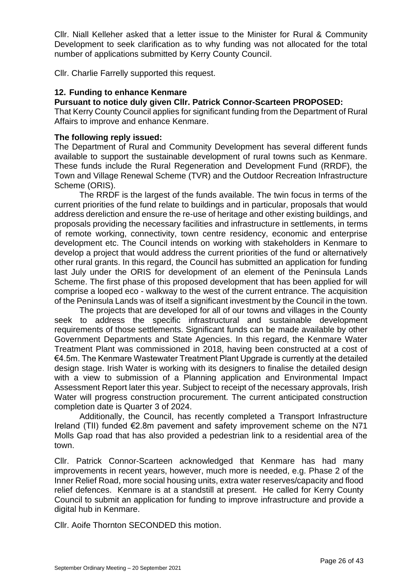Cllr. Niall Kelleher asked that a letter issue to the Minister for Rural & Community Development to seek clarification as to why funding was not allocated for the total number of applications submitted by Kerry County Council.

Cllr. Charlie Farrelly supported this request.

### **12. Funding to enhance Kenmare**

# **Pursuant to notice duly given Cllr. Patrick Connor-Scarteen PROPOSED:**

That Kerry County Council applies for significant funding from the Department of Rural Affairs to improve and enhance Kenmare.

### **The following reply issued:**

The Department of Rural and Community Development has several different funds available to support the sustainable development of rural towns such as Kenmare. These funds include the Rural Regeneration and Development Fund (RRDF), the Town and Village Renewal Scheme (TVR) and the Outdoor Recreation Infrastructure Scheme (ORIS).

The RRDF is the largest of the funds available. The twin focus in terms of the current priorities of the fund relate to buildings and in particular, proposals that would address dereliction and ensure the re-use of heritage and other existing buildings, and proposals providing the necessary facilities and infrastructure in settlements, in terms of remote working, connectivity, town centre residency, economic and enterprise development etc. The Council intends on working with stakeholders in Kenmare to develop a project that would address the current priorities of the fund or alternatively other rural grants. In this regard, the Council has submitted an application for funding last July under the ORIS for development of an element of the Peninsula Lands Scheme. The first phase of this proposed development that has been applied for will comprise a looped eco - walkway to the west of the current entrance. The acquisition of the Peninsula Lands was of itself a significant investment by the Council in the town.

The projects that are developed for all of our towns and villages in the County seek to address the specific infrastructural and sustainable development requirements of those settlements. Significant funds can be made available by other Government Departments and State Agencies. In this regard, the Kenmare Water Treatment Plant was commissioned in 2018, having been constructed at a cost of €4.5m. The Kenmare Wastewater Treatment Plant Upgrade is currently at the detailed design stage. Irish Water is working with its designers to finalise the detailed design with a view to submission of a Planning application and Environmental Impact Assessment Report later this year. Subject to receipt of the necessary approvals, Irish Water will progress construction procurement. The current anticipated construction completion date is Quarter 3 of 2024.

Additionally, the Council, has recently completed a Transport Infrastructure Ireland (TII) funded €2.8m pavement and safety improvement scheme on the N71 Molls Gap road that has also provided a pedestrian link to a residential area of the town.

Cllr. Patrick Connor-Scarteen acknowledged that Kenmare has had many improvements in recent years, however, much more is needed, e.g. Phase 2 of the Inner Relief Road, more social housing units, extra water reserves/capacity and flood relief defences. Kenmare is at a standstill at present. He called for Kerry County Council to submit an application for funding to improve infrastructure and provide a digital hub in Kenmare.

Cllr. Aoife Thornton SECONDED this motion.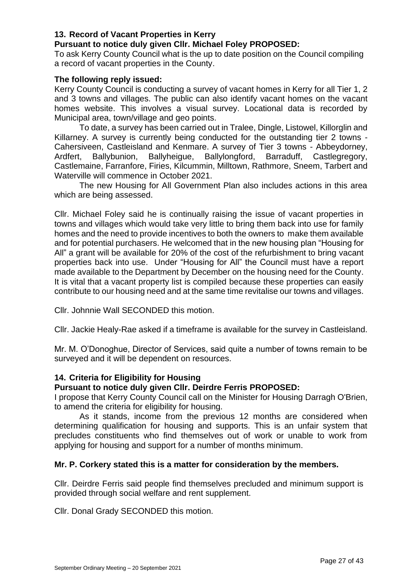## **13. Record of Vacant Properties in Kerry**

## **Pursuant to notice duly given Cllr. Michael Foley PROPOSED:**

To ask Kerry County Council what is the up to date position on the Council compiling a record of vacant properties in the County.

### **The following reply issued:**

Kerry County Council is conducting a survey of vacant homes in Kerry for all Tier 1, 2 and 3 towns and villages. The public can also identify vacant homes on the vacant homes website. This involves a visual survey. Locational data is recorded by Municipal area, town/village and geo points.

To date, a survey has been carried out in Tralee, Dingle, Listowel, Killorglin and Killarney. A survey is currently being conducted for the outstanding tier 2 towns - Cahersiveen, Castleisland and Kenmare. A survey of Tier 3 towns - Abbeydorney, Ardfert, Ballybunion, Ballyheigue, Ballylongford, Barraduff, Castlegregory, Castlemaine, Farranfore, Firies, Kilcummin, Milltown, Rathmore, Sneem, Tarbert and Waterville will commence in October 2021.

The new Housing for All Government Plan also includes actions in this area which are being assessed.

Cllr. Michael Foley said he is continually raising the issue of vacant properties in towns and villages which would take very little to bring them back into use for family homes and the need to provide incentives to both the owners to make them available and for potential purchasers. He welcomed that in the new housing plan "Housing for All" a grant will be available for 20% of the cost of the refurbishment to bring vacant properties back into use. Under "Housing for All" the Council must have a report made available to the Department by December on the housing need for the County. It is vital that a vacant property list is compiled because these properties can easily contribute to our housing need and at the same time revitalise our towns and villages.

Cllr. Johnnie Wall SECONDED this motion.

Cllr. Jackie Healy-Rae asked if a timeframe is available for the survey in Castleisland.

Mr. M. O'Donoghue, Director of Services, said quite a number of towns remain to be surveyed and it will be dependent on resources.

# **14. Criteria for Eligibility for Housing**

#### **Pursuant to notice duly given Cllr. Deirdre Ferris PROPOSED:**

I propose that Kerry County Council call on the Minister for Housing Darragh O'Brien, to amend the criteria for eligibility for housing.

As it stands, income from the previous 12 months are considered when determining qualification for housing and supports. This is an unfair system that precludes constituents who find themselves out of work or unable to work from applying for housing and support for a number of months minimum.

#### **Mr. P. Corkery stated this is a matter for consideration by the members.**

Cllr. Deirdre Ferris said people find themselves precluded and minimum support is provided through social welfare and rent supplement.

Cllr. Donal Grady SECONDED this motion.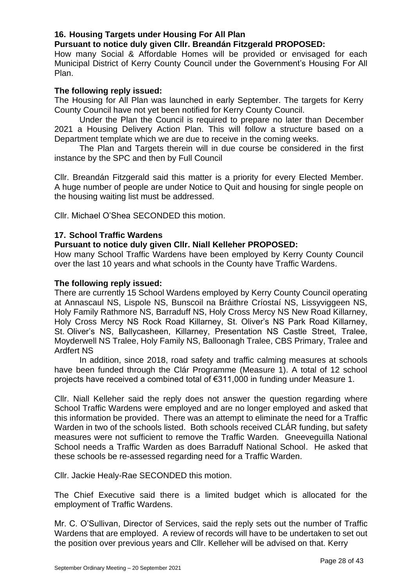# **16. Housing Targets under Housing For All Plan**

**Pursuant to notice duly given Cllr. Breandán Fitzgerald PROPOSED:**

How many Social & Affordable Homes will be provided or envisaged for each Municipal District of Kerry County Council under the Government's Housing For All Plan.

# **The following reply issued:**

The Housing for All Plan was launched in early September. The targets for Kerry County Council have not yet been notified for Kerry County Council.

Under the Plan the Council is required to prepare no later than December 2021 a Housing Delivery Action Plan. This will follow a structure based on a Department template which we are due to receive in the coming weeks.

The Plan and Targets therein will in due course be considered in the first instance by the SPC and then by Full Council

Cllr. Breandán Fitzgerald said this matter is a priority for every Elected Member. A huge number of people are under Notice to Quit and housing for single people on the housing waiting list must be addressed.

Cllr. Michael O'Shea SECONDED this motion.

### **17. School Traffic Wardens**

#### **Pursuant to notice duly given Cllr. Niall Kelleher PROPOSED:**

How many School Traffic Wardens have been employed by Kerry County Council over the last 10 years and what schools in the County have Traffic Wardens.

#### **The following reply issued:**

There are currently 15 School Wardens employed by Kerry County Council operating at Annascaul NS, Lispole NS, Bunscoil na Bráithre Críostaí NS, Lissyviggeen NS, Holy Family Rathmore NS, Barraduff NS, Holy Cross Mercy NS New Road Killarney, Holy Cross Mercy NS Rock Road Killarney, St. Oliver's NS Park Road Killarney, St. Oliver's NS, Ballycasheen, Killarney, Presentation NS Castle Street, Tralee, Moyderwell NS Tralee, Holy Family NS, Balloonagh Tralee, CBS Primary, Tralee and Ardfert NS

In addition, since 2018, road safety and traffic calming measures at schools have been funded through the Clár Programme (Measure 1). A total of 12 school projects have received a combined total of €311,000 in funding under Measure 1.

Cllr. Niall Kelleher said the reply does not answer the question regarding where School Traffic Wardens were employed and are no longer employed and asked that this information be provided. There was an attempt to eliminate the need for a Traffic Warden in two of the schools listed. Both schools received CLÁR funding, but safety measures were not sufficient to remove the Traffic Warden. Gneeveguilla National School needs a Traffic Warden as does Barraduff National School. He asked that these schools be re-assessed regarding need for a Traffic Warden.

Cllr. Jackie Healy-Rae SECONDED this motion.

The Chief Executive said there is a limited budget which is allocated for the employment of Traffic Wardens.

Mr. C. O'Sullivan, Director of Services, said the reply sets out the number of Traffic Wardens that are employed. A review of records will have to be undertaken to set out the position over previous years and Cllr. Kelleher will be advised on that. Kerry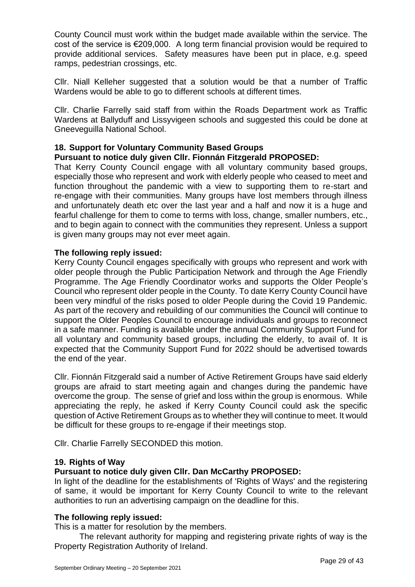County Council must work within the budget made available within the service. The cost of the service is €209,000. A long term financial provision would be required to provide additional services. Safety measures have been put in place, e.g. speed ramps, pedestrian crossings, etc.

Cllr. Niall Kelleher suggested that a solution would be that a number of Traffic Wardens would be able to go to different schools at different times.

Cllr. Charlie Farrelly said staff from within the Roads Department work as Traffic Wardens at Ballyduff and Lissyvigeen schools and suggested this could be done at Gneeveguilla National School.

# **18. Support for Voluntary Community Based Groups**

### **Pursuant to notice duly given Cllr. Fionnán Fitzgerald PROPOSED:**

That Kerry County Council engage with all voluntary community based groups, especially those who represent and work with elderly people who ceased to meet and function throughout the pandemic with a view to supporting them to re-start and re-engage with their communities. Many groups have lost members through illness and unfortunately death etc over the last year and a half and now it is a huge and fearful challenge for them to come to terms with loss, change, smaller numbers, etc., and to begin again to connect with the communities they represent. Unless a support is given many groups may not ever meet again.

### **The following reply issued:**

Kerry County Council engages specifically with groups who represent and work with older people through the Public Participation Network and through the Age Friendly Programme. The Age Friendly Coordinator works and supports the Older People's Council who represent older people in the County. To date Kerry County Council have been very mindful of the risks posed to older People during the Covid 19 Pandemic. As part of the recovery and rebuilding of our communities the Council will continue to support the Older Peoples Council to encourage individuals and groups to reconnect in a safe manner. Funding is available under the annual Community Support Fund for all voluntary and community based groups, including the elderly, to avail of. It is expected that the Community Support Fund for 2022 should be advertised towards the end of the year.

Cllr. Fionnán Fitzgerald said a number of Active Retirement Groups have said elderly groups are afraid to start meeting again and changes during the pandemic have overcome the group. The sense of grief and loss within the group is enormous. While appreciating the reply, he asked if Kerry County Council could ask the specific question of Active Retirement Groups as to whether they will continue to meet. It would be difficult for these groups to re-engage if their meetings stop.

Cllr. Charlie Farrelly SECONDED this motion.

#### **19. Rights of Way**

#### **Pursuant to notice duly given Cllr. Dan McCarthy PROPOSED:**

In light of the deadline for the establishments of 'Rights of Ways' and the registering of same, it would be important for Kerry County Council to write to the relevant authorities to run an advertising campaign on the deadline for this.

#### **The following reply issued:**

This is a matter for resolution by the members.

The relevant authority for mapping and registering private rights of way is the Property Registration Authority of Ireland.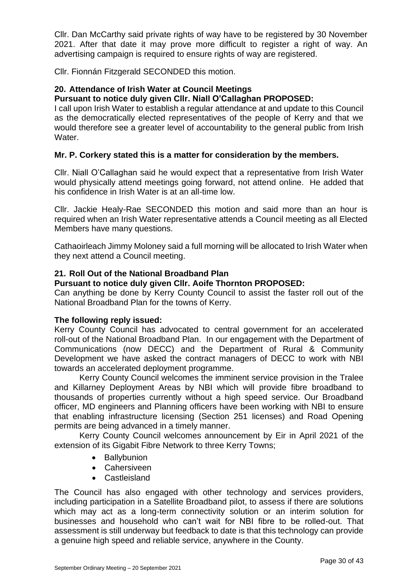Cllr. Dan McCarthy said private rights of way have to be registered by 30 November 2021. After that date it may prove more difficult to register a right of way. An advertising campaign is required to ensure rights of way are registered.

Cllr. Fionnán Fitzgerald SECONDED this motion.

### **20. Attendance of Irish Water at Council Meetings**

## **Pursuant to notice duly given Cllr. Niall O'Callaghan PROPOSED:**

I call upon Irish Water to establish a regular attendance at and update to this Council as the democratically elected representatives of the people of Kerry and that we would therefore see a greater level of accountability to the general public from Irish Water.

# **Mr. P. Corkery stated this is a matter for consideration by the members.**

Cllr. Niall O'Callaghan said he would expect that a representative from Irish Water would physically attend meetings going forward, not attend online. He added that his confidence in Irish Water is at an all-time low.

Cllr. Jackie Healy-Rae SECONDED this motion and said more than an hour is required when an Irish Water representative attends a Council meeting as all Elected Members have many questions.

Cathaoirleach Jimmy Moloney said a full morning will be allocated to Irish Water when they next attend a Council meeting.

### **21. Roll Out of the National Broadband Plan**

#### **Pursuant to notice duly given Cllr. Aoife Thornton PROPOSED:**

Can anything be done by Kerry County Council to assist the faster roll out of the National Broadband Plan for the towns of Kerry.

#### **The following reply issued:**

Kerry County Council has advocated to central government for an accelerated roll-out of the National Broadband Plan. In our engagement with the Department of Communications (now DECC) and the Department of Rural & Community Development we have asked the contract managers of DECC to work with NBI towards an accelerated deployment programme.

Kerry County Council welcomes the imminent service provision in the Tralee and Killarney Deployment Areas by NBI which will provide fibre broadband to thousands of properties currently without a high speed service. Our Broadband officer, MD engineers and Planning officers have been working with NBI to ensure that enabling infrastructure licensing (Section 251 licenses) and Road Opening permits are being advanced in a timely manner.

Kerry County Council welcomes announcement by Eir in April 2021 of the extension of its Gigabit Fibre Network to three Kerry Towns;

- Ballybunion
- Cahersiveen
- Castleisland

The Council has also engaged with other technology and services providers, including participation in a Satellite Broadband pilot, to assess if there are solutions which may act as a long-term connectivity solution or an interim solution for businesses and household who can't wait for NBI fibre to be rolled-out. That assessment is still underway but feedback to date is that this technology can provide a genuine high speed and reliable service, anywhere in the County.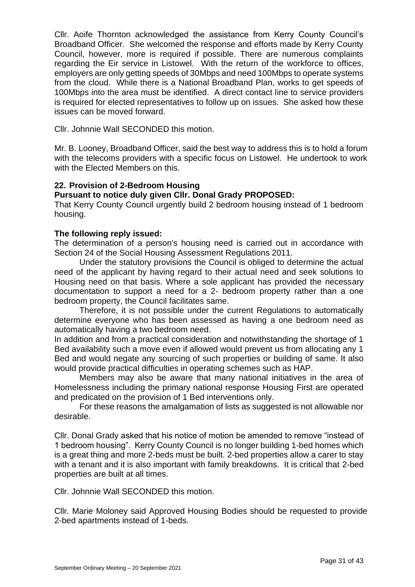Cllr. Aoife Thornton acknowledged the assistance from Kerry County Council's Broadband Officer. She welcomed the response and efforts made by Kerry County Council, however, more is required if possible. There are numerous complaints regarding the Eir service in Listowel. With the return of the workforce to offices, employers are only getting speeds of 30Mbps and need 100Mbps to operate systems from the cloud. While there is a National Broadband Plan, works to get speeds of 100Mbps into the area must be identified. A direct contact line to service providers is required for elected representatives to follow up on issues. She asked how these issues can be moved forward.

Cllr. Johnnie Wall SECONDED this motion.

Mr. B. Looney, Broadband Officer, said the best way to address this is to hold a forum with the telecoms providers with a specific focus on Listowel. He undertook to work with the Elected Members on this.

# **22. Provision of 2-Bedroom Housing**

# **Pursuant to notice duly given Cllr. Donal Grady PROPOSED:**

That Kerry County Council urgently build 2 bedroom housing instead of 1 bedroom housing.

#### **The following reply issued:**

The determination of a person's housing need is carried out in accordance with Section 24 of the Social Housing Assessment Regulations 2011.

Under the statutory provisions the Council is obliged to determine the actual need of the applicant by having regard to their actual need and seek solutions to Housing need on that basis. Where a sole applicant has provided the necessary documentation to support a need for a 2- bedroom property rather than a one bedroom property, the Council facilitates same.

Therefore, it is not possible under the current Regulations to automatically determine everyone who has been assessed as having a one bedroom need as automatically having a two bedroom need.

In addition and from a practical consideration and notwithstanding the shortage of 1 Bed availability such a move even if allowed would prevent us from allocating any 1 Bed and would negate any sourcing of such properties or building of same. It also would provide practical difficulties in operating schemes such as HAP.

Members may also be aware that many national initiatives in the area of Homelessness including the primary national response Housing First are operated and predicated on the provision of 1 Bed interventions only.

For these reasons the amalgamation of lists as suggested is not allowable nor desirable.

Cllr. Donal Grady asked that his notice of motion be amended to remove "instead of 1 bedroom housing". Kerry County Council is no longer building 1-bed homes which is a great thing and more 2-beds must be built. 2-bed properties allow a carer to stay with a tenant and it is also important with family breakdowns. It is critical that 2-bed properties are built at all times.

Cllr. Johnnie Wall SECONDED this motion.

Cllr. Marie Moloney said Approved Housing Bodies should be requested to provide 2-bed apartments instead of 1-beds.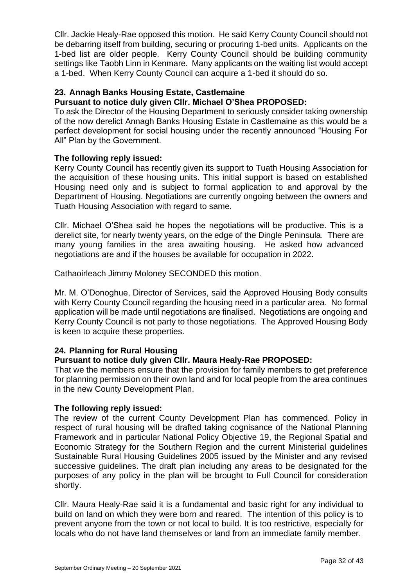Cllr. Jackie Healy-Rae opposed this motion. He said Kerry County Council should not be debarring itself from building, securing or procuring 1-bed units. Applicants on the 1-bed list are older people. Kerry County Council should be building community settings like Taobh Linn in Kenmare. Many applicants on the waiting list would accept a 1-bed. When Kerry County Council can acquire a 1-bed it should do so.

# **23. Annagh Banks Housing Estate, Castlemaine**

# **Pursuant to notice duly given Cllr. Michael O'Shea PROPOSED:**

To ask the Director of the Housing Department to seriously consider taking ownership of the now derelict Annagh Banks Housing Estate in Castlemaine as this would be a perfect development for social housing under the recently announced "Housing For All" Plan by the Government.

# **The following reply issued:**

Kerry County Council has recently given its support to Tuath Housing Association for the acquisition of these housing units. This initial support is based on established Housing need only and is subject to formal application to and approval by the Department of Housing. Negotiations are currently ongoing between the owners and Tuath Housing Association with regard to same.

Cllr. Michael O'Shea said he hopes the negotiations will be productive. This is a derelict site, for nearly twenty years, on the edge of the Dingle Peninsula. There are many young families in the area awaiting housing. He asked how advanced negotiations are and if the houses be available for occupation in 2022.

Cathaoirleach Jimmy Moloney SECONDED this motion.

Mr. M. O'Donoghue, Director of Services, said the Approved Housing Body consults with Kerry County Council regarding the housing need in a particular area. No formal application will be made until negotiations are finalised. Negotiations are ongoing and Kerry County Council is not party to those negotiations. The Approved Housing Body is keen to acquire these properties.

# **24. Planning for Rural Housing**

# **Pursuant to notice duly given Cllr. Maura Healy-Rae PROPOSED:**

That we the members ensure that the provision for family members to get preference for planning permission on their own land and for local people from the area continues in the new County Development Plan.

#### **The following reply issued:**

The review of the current County Development Plan has commenced. Policy in respect of rural housing will be drafted taking cognisance of the National Planning Framework and in particular National Policy Objective 19, the Regional Spatial and Economic Strategy for the Southern Region and the current Ministerial guidelines Sustainable Rural Housing Guidelines 2005 issued by the Minister and any revised successive guidelines. The draft plan including any areas to be designated for the purposes of any policy in the plan will be brought to Full Council for consideration shortly.

Cllr. Maura Healy-Rae said it is a fundamental and basic right for any individual to build on land on which they were born and reared. The intention of this policy is to prevent anyone from the town or not local to build. It is too restrictive, especially for locals who do not have land themselves or land from an immediate family member.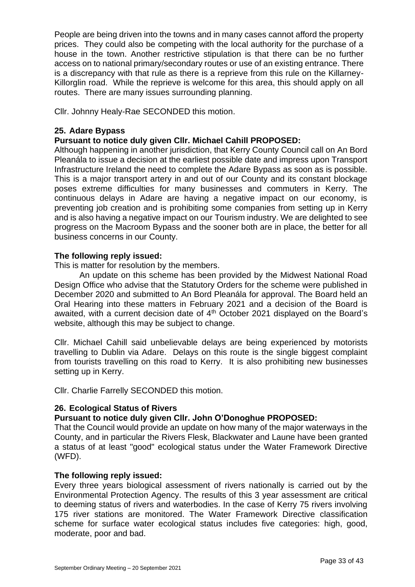People are being driven into the towns and in many cases cannot afford the property prices. They could also be competing with the local authority for the purchase of a house in the town. Another restrictive stipulation is that there can be no further access on to national primary/secondary routes or use of an existing entrance. There is a discrepancy with that rule as there is a reprieve from this rule on the Killarney-Killorglin road. While the reprieve is welcome for this area, this should apply on all routes. There are many issues surrounding planning.

Cllr. Johnny Healy-Rae SECONDED this motion.

## **25. Adare Bypass**

## **Pursuant to notice duly given Cllr. Michael Cahill PROPOSED:**

Although happening in another jurisdiction, that Kerry County Council call on An Bord Pleanála to issue a decision at the earliest possible date and impress upon Transport Infrastructure Ireland the need to complete the Adare Bypass as soon as is possible. This is a major transport artery in and out of our County and its constant blockage poses extreme difficulties for many businesses and commuters in Kerry. The continuous delays in Adare are having a negative impact on our economy, is preventing job creation and is prohibiting some companies from setting up in Kerry and is also having a negative impact on our Tourism industry. We are delighted to see progress on the Macroom Bypass and the sooner both are in place, the better for all business concerns in our County.

### **The following reply issued:**

This is matter for resolution by the members.

An update on this scheme has been provided by the Midwest National Road Design Office who advise that the Statutory Orders for the scheme were published in December 2020 and submitted to An Bord Pleanála for approval. The Board held an Oral Hearing into these matters in February 2021 and a decision of the Board is awaited, with a current decision date of 4<sup>th</sup> October 2021 displayed on the Board's website, although this may be subject to change.

Cllr. Michael Cahill said unbelievable delays are being experienced by motorists travelling to Dublin via Adare. Delays on this route is the single biggest complaint from tourists travelling on this road to Kerry. It is also prohibiting new businesses setting up in Kerry.

Cllr. Charlie Farrelly SECONDED this motion.

#### **26. Ecological Status of Rivers**

# **Pursuant to notice duly given Cllr. John O'Donoghue PROPOSED:**

That the Council would provide an update on how many of the major waterways in the County, and in particular the Rivers Flesk, Blackwater and Laune have been granted a status of at least "good" ecological status under the Water Framework Directive (WFD).

#### **The following reply issued:**

Every three years biological assessment of rivers nationally is carried out by the Environmental Protection Agency. The results of this 3 year assessment are critical to deeming status of rivers and waterbodies. In the case of Kerry 75 rivers involving 175 river stations are monitored. The Water Framework Directive classification scheme for surface water ecological status includes five categories: high, good, moderate, poor and bad.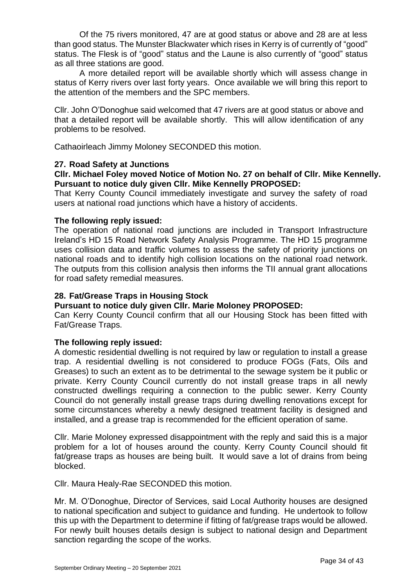Of the 75 rivers monitored, 47 are at good status or above and 28 are at less than good status. The Munster Blackwater which rises in Kerry is of currently of "good" status. The Flesk is of "good" status and the Laune is also currently of "good" status as all three stations are good.

A more detailed report will be available shortly which will assess change in status of Kerry rivers over last forty years. Once available we will bring this report to the attention of the members and the SPC members.

Cllr. John O'Donoghue said welcomed that 47 rivers are at good status or above and that a detailed report will be available shortly. This will allow identification of any problems to be resolved.

Cathaoirleach Jimmy Moloney SECONDED this motion.

### **27. Road Safety at Junctions**

## **Cllr. Michael Foley moved Notice of Motion No. 27 on behalf of Cllr. Mike Kennelly. Pursuant to notice duly given Cllr. Mike Kennelly PROPOSED:**

That Kerry County Council immediately investigate and survey the safety of road users at national road junctions which have a history of accidents.

#### **The following reply issued:**

The operation of national road junctions are included in Transport Infrastructure Ireland's HD 15 Road Network Safety Analysis Programme. The HD 15 programme uses collision data and traffic volumes to assess the safety of priority junctions on national roads and to identify high collision locations on the national road network. The outputs from this collision analysis then informs the TII annual grant allocations for road safety remedial measures.

## **28. Fat/Grease Traps in Housing Stock**

#### **Pursuant to notice duly given Cllr. Marie Moloney PROPOSED:**

Can Kerry County Council confirm that all our Housing Stock has been fitted with Fat/Grease Traps.

#### **The following reply issued:**

A domestic residential dwelling is not required by law or regulation to install a grease trap. A residential dwelling is not considered to produce FOGs (Fats, Oils and Greases) to such an extent as to be detrimental to the sewage system be it public or private. Kerry County Council currently do not install grease traps in all newly constructed dwellings requiring a connection to the public sewer. Kerry County Council do not generally install grease traps during dwelling renovations except for some circumstances whereby a newly designed treatment facility is designed and installed, and a grease trap is recommended for the efficient operation of same.

Cllr. Marie Moloney expressed disappointment with the reply and said this is a major problem for a lot of houses around the county. Kerry County Council should fit fat/grease traps as houses are being built. It would save a lot of drains from being blocked.

Cllr. Maura Healy-Rae SECONDED this motion.

Mr. M. O'Donoghue, Director of Services, said Local Authority houses are designed to national specification and subject to guidance and funding. He undertook to follow this up with the Department to determine if fitting of fat/grease traps would be allowed. For newly built houses details design is subject to national design and Department sanction regarding the scope of the works.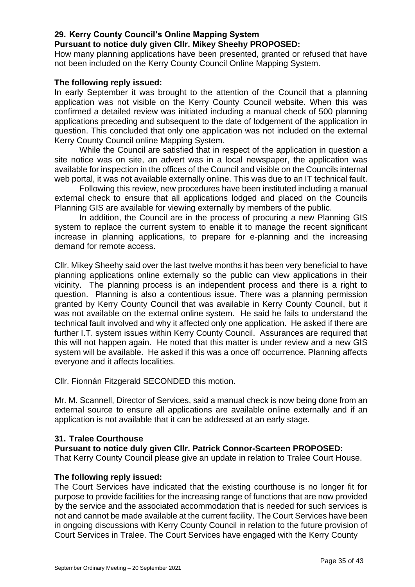## **29. Kerry County Council's Online Mapping System**

## **Pursuant to notice duly given Cllr. Mikey Sheehy PROPOSED:**

How many planning applications have been presented, granted or refused that have not been included on the Kerry County Council Online Mapping System.

### **The following reply issued:**

In early September it was brought to the attention of the Council that a planning application was not visible on the Kerry County Council website. When this was confirmed a detailed review was initiated including a manual check of 500 planning applications preceding and subsequent to the date of lodgement of the application in question. This concluded that only one application was not included on the external Kerry County Council online Mapping System.

While the Council are satisfied that in respect of the application in question a site notice was on site, an advert was in a local newspaper, the application was available for inspection in the offices of the Council and visible on the Councils internal web portal, it was not available externally online. This was due to an IT technical fault.

Following this review, new procedures have been instituted including a manual external check to ensure that all applications lodged and placed on the Councils Planning GIS are available for viewing externally by members of the public.

In addition, the Council are in the process of procuring a new Planning GIS system to replace the current system to enable it to manage the recent significant increase in planning applications, to prepare for e-planning and the increasing demand for remote access.

Cllr. Mikey Sheehy said over the last twelve months it has been very beneficial to have planning applications online externally so the public can view applications in their vicinity. The planning process is an independent process and there is a right to question. Planning is also a contentious issue. There was a planning permission granted by Kerry County Council that was available in Kerry County Council, but it was not available on the external online system. He said he fails to understand the technical fault involved and why it affected only one application. He asked if there are further I.T. system issues within Kerry County Council. Assurances are required that this will not happen again. He noted that this matter is under review and a new GIS system will be available. He asked if this was a once off occurrence. Planning affects everyone and it affects localities.

Cllr. Fionnán Fitzgerald SECONDED this motion.

Mr. M. Scannell, Director of Services, said a manual check is now being done from an external source to ensure all applications are available online externally and if an application is not available that it can be addressed at an early stage.

# **31. Tralee Courthouse**

#### **Pursuant to notice duly given Cllr. Patrick Connor-Scarteen PROPOSED:**

That Kerry County Council please give an update in relation to Tralee Court House.

#### **The following reply issued:**

The Court Services have indicated that the existing courthouse is no longer fit for purpose to provide facilities for the increasing range of functions that are now provided by the service and the associated accommodation that is needed for such services is not and cannot be made available at the current facility. The Court Services have been in ongoing discussions with Kerry County Council in relation to the future provision of Court Services in Tralee. The Court Services have engaged with the Kerry County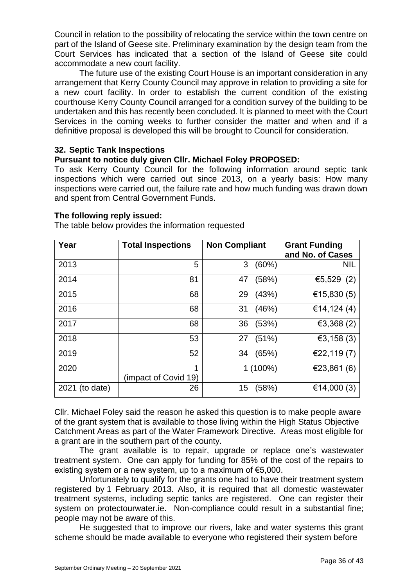Council in relation to the possibility of relocating the service within the town centre on part of the Island of Geese site. Preliminary examination by the design team from the Court Services has indicated that a section of the Island of Geese site could accommodate a new court facility.

The future use of the existing Court House is an important consideration in any arrangement that Kerry County Council may approve in relation to providing a site for a new court facility. In order to establish the current condition of the existing courthouse Kerry County Council arranged for a condition survey of the building to be undertaken and this has recently been concluded. It is planned to meet with the Court Services in the coming weeks to further consider the matter and when and if a definitive proposal is developed this will be brought to Council for consideration.

### **32. Septic Tank Inspections**

# **Pursuant to notice duly given Cllr. Michael Foley PROPOSED:**

To ask Kerry County Council for the following information around septic tank inspections which were carried out since 2013, on a yearly basis: How many inspections were carried out, the failure rate and how much funding was drawn down and spent from Central Government Funds.

### **The following reply issued:**

| Year           | <b>Total Inspections</b>  | <b>Non Compliant</b> | <b>Grant Funding</b><br>and No. of Cases |
|----------------|---------------------------|----------------------|------------------------------------------|
| 2013           | 5                         | 3<br>(60%)           | <b>NIL</b>                               |
| 2014           | 81                        | (58%)<br>47          | €5,529 (2)                               |
| 2015           | 68                        | 29<br>(43%)          | €15,830 $(5)$                            |
| 2016           | 68                        | (46%)<br>31          | €14,124 $(4)$                            |
| 2017           | 68                        | (53%)<br>36          | €3,368 $(2)$                             |
| 2018           | 53                        | (51%)<br>27          | €3,158 $(3)$                             |
| 2019           | 52                        | (65%)<br>34          | €22,119 $(7)$                            |
| 2020           | 1<br>(impact of Covid 19) | $1(100\%)$           | €23,861 $(6)$                            |
| 2021 (to date) | 26                        | (58%)<br>15          | €14,000 $(3)$                            |

The table below provides the information requested

Cllr. Michael Foley said the reason he asked this question is to make people aware of the grant system that is available to those living within the High Status Objective Catchment Areas as part of the Water Framework Directive. Areas most eligible for a grant are in the southern part of the county.

The grant available is to repair, upgrade or replace one's wastewater treatment system. One can apply for funding for 85% of the cost of the repairs to existing system or a new system, up to a maximum of €5,000.

Unfortunately to qualify for the grants one had to have their treatment system registered by 1 February 2013. Also, it is required that all domestic wastewater treatment systems, including septic tanks are registered. One can register their system on protectourwater.ie. Non-compliance could result in a substantial fine; people may not be aware of this.

He suggested that to improve our rivers, lake and water systems this grant scheme should be made available to everyone who registered their system before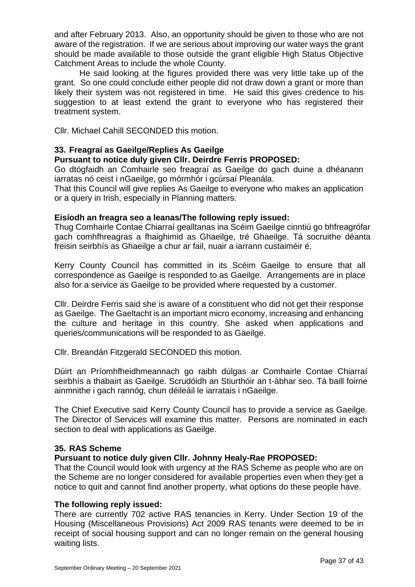and after February 2013. Also, an opportunity should be given to those who are not aware of the registration. If we are serious about improving our water ways the grant should be made available to those outside the grant eligible High Status Objective Catchment Areas to include the whole County.

He said looking at the figures provided there was very little take up of the grant. So one could conclude either people did not draw down a grant or more than likely their system was not registered in time. He said this gives credence to his suggestion to at least extend the grant to everyone who has registered their treatment system.

Cllr. Michael Cahill SECONDED this motion.

## **33. Freagraí as Gaeilge/Replies As Gaeilge**

#### **Pursuant to notice duly given Cllr. Deirdre Ferris PROPOSED:**

Go dtógfaidh an Comhairle seo freagraí as Gaeilge do gach duine a dhéanann iarratas nó ceist i nGaeilge, go mórmhór i gcúrsaí Pleanála.

That this Council will give replies As Gaeilge to everyone who makes an application or a query in Irish, especially in Planning matters.

#### **Eisíodh an freagra seo a leanas/The following reply issued:**

Thug Comhairle Contae Chiarraí gealltanas ina Scéim Gaeilge cinntiú go bhfreagrófar gach comhfhreagras a fhaighimid as Ghaeilge, tré Ghaeilge. Tá socruithe déanta freisin seirbhís as Ghaeilge a chur ar fail, nuair a iarrann custaiméir é.

Kerry County Council has committed in its Scéim Gaeilge to ensure that all correspondence as Gaeilge is responded to as Gaeilge. Arrangements are in place also for a service as Gaeilge to be provided where requested by a customer.

Cllr. Deirdre Ferris said she is aware of a constituent who did not get their response as Gaeilge. The Gaeltacht is an important micro economy, increasing and enhancing the culture and heritage in this country. She asked when applications and queries/communications will be responded to as Gaeilge.

Cllr. Breandán Fitzgerald SECONDED this motion.

Dúirt an Príomhfheidhmeannach go raibh dúlgas ar Comhairle Contae Chiarraí seirbhís a thabairt as Gaeilge. Scrudóidh an Stiurthóir an t-ábhar seo. Tá baill foirne ainmnithe i gach rannóg, chun déileáil le iarratais i nGaeilge.

The Chief Executive said Kerry County Council has to provide a service as Gaeilge. The Director of Services will examine this matter. Persons are nominated in each section to deal with applications as Gaeilge.

#### **35. RAS Scheme**

#### **Pursuant to notice duly given Cllr. Johnny Healy-Rae PROPOSED:**

That the Council would look with urgency at the RAS Scheme as people who are on the Scheme are no longer considered for available properties even when they get a notice to quit and cannot find another property, what options do these people have.

#### **The following reply issued:**

There are currently 702 active RAS tenancies in Kerry. Under Section 19 of the Housing (Miscellaneous Provisions) Act 2009 RAS tenants were deemed to be in receipt of social housing support and can no longer remain on the general housing waiting lists.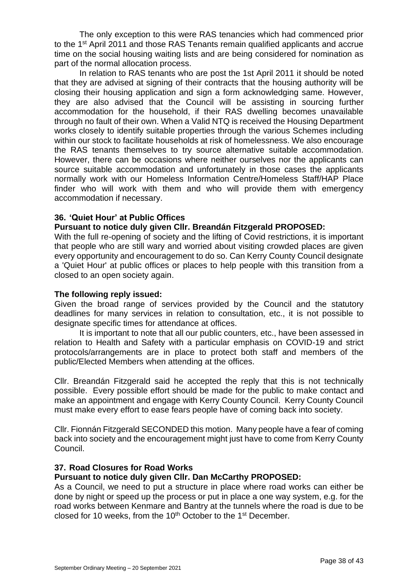The only exception to this were RAS tenancies which had commenced prior to the 1st April 2011 and those RAS Tenants remain qualified applicants and accrue time on the social housing waiting lists and are being considered for nomination as part of the normal allocation process.

In relation to RAS tenants who are post the 1st April 2011 it should be noted that they are advised at signing of their contracts that the housing authority will be closing their housing application and sign a form acknowledging same. However, they are also advised that the Council will be assisting in sourcing further accommodation for the household, if their RAS dwelling becomes unavailable through no fault of their own. When a Valid NTQ is received the Housing Department works closely to identify suitable properties through the various Schemes including within our stock to facilitate households at risk of homelessness. We also encourage the RAS tenants themselves to try source alternative suitable accommodation. However, there can be occasions where neither ourselves nor the applicants can source suitable accommodation and unfortunately in those cases the applicants normally work with our Homeless Information Centre/Homeless Staff/HAP Place finder who will work with them and who will provide them with emergency accommodation if necessary.

### **36. 'Quiet Hour' at Public Offices**

#### **Pursuant to notice duly given Cllr. Breandán Fitzgerald PROPOSED:**

With the full re-opening of society and the lifting of Covid restrictions, it is important that people who are still wary and worried about visiting crowded places are given every opportunity and encouragement to do so. Can Kerry County Council designate a 'Quiet Hour' at public offices or places to help people with this transition from a closed to an open society again.

#### **The following reply issued:**

Given the broad range of services provided by the Council and the statutory deadlines for many services in relation to consultation, etc., it is not possible to designate specific times for attendance at offices.

It is important to note that all our public counters, etc., have been assessed in relation to Health and Safety with a particular emphasis on COVID-19 and strict protocols/arrangements are in place to protect both staff and members of the public/Elected Members when attending at the offices.

Cllr. Breandán Fitzgerald said he accepted the reply that this is not technically possible. Every possible effort should be made for the public to make contact and make an appointment and engage with Kerry County Council. Kerry County Council must make every effort to ease fears people have of coming back into society.

Cllr. Fionnán Fitzgerald SECONDED this motion. Many people have a fear of coming back into society and the encouragement might just have to come from Kerry County Council.

#### **37. Road Closures for Road Works**

#### **Pursuant to notice duly given Cllr. Dan McCarthy PROPOSED:**

As a Council, we need to put a structure in place where road works can either be done by night or speed up the process or put in place a one way system, e.g. for the road works between Kenmare and Bantry at the tunnels where the road is due to be closed for 10 weeks, from the 10<sup>th</sup> October to the 1<sup>st</sup> December.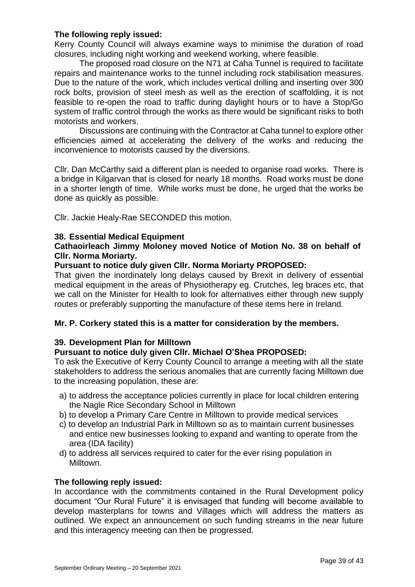### **The following reply issued:**

Kerry County Council will always examine ways to minimise the duration of road closures, including night working and weekend working, where feasible.

The proposed road closure on the N71 at Caha Tunnel is required to facilitate repairs and maintenance works to the tunnel including rock stabilisation measures. Due to the nature of the work, which includes vertical drilling and inserting over 300 rock bolts, provision of steel mesh as well as the erection of scaffolding, it is not feasible to re-open the road to traffic during daylight hours or to have a Stop/Go system of traffic control through the works as there would be significant risks to both motorists and workers.

Discussions are continuing with the Contractor at Caha tunnel to explore other efficiencies aimed at accelerating the delivery of the works and reducing the inconvenience to motorists caused by the diversions.

Cllr. Dan McCarthy said a different plan is needed to organise road works. There is a bridge in Kilgarvan that is closed for nearly 18 months. Road works must be done in a shorter length of time. While works must be done, he urged that the works be done as quickly as possible.

Cllr. Jackie Healy-Rae SECONDED this motion.

### **38. Essential Medical Equipment**

### **Cathaoirleach Jimmy Moloney moved Notice of Motion No. 38 on behalf of Cllr. Norma Moriarty.**

#### **Pursuant to notice duly given Cllr. Norma Moriarty PROPOSED:**

That given the inordinately long delays caused by Brexit in delivery of essential medical equipment in the areas of Physiotherapy eg. Crutches, leg braces etc, that we call on the Minister for Health to look for alternatives either through new supply routes or preferably supporting the manufacture of these items here in Ireland.

# **Mr. P. Corkery stated this is a matter for consideration by the members.**

# **39. Development Plan for Milltown**

# **Pursuant to notice duly given Cllr. Michael O'Shea PROPOSED:**

To ask the Executive of Kerry County Council to arrange a meeting with all the state stakeholders to address the serious anomalies that are currently facing Milltown due to the increasing population, these are:

- a) to address the acceptance policies currently in place for local children entering the Nagle Rice Secondary School in Milltown
- b) to develop a Primary Care Centre in Milltown to provide medical services
- c) to develop an Industrial Park in Milltown so as to maintain current businesses and entice new businesses looking to expand and wanting to operate from the area (IDA facility)
- d) to address all services required to cater for the ever rising population in Milltown.

# **The following reply issued:**

In accordance with the commitments contained in the Rural Development policy document "Our Rural Future" it is envisaged that funding will become available to develop masterplans for towns and Villages which will address the matters as outlined. We expect an announcement on such funding streams in the near future and this interagency meeting can then be progressed.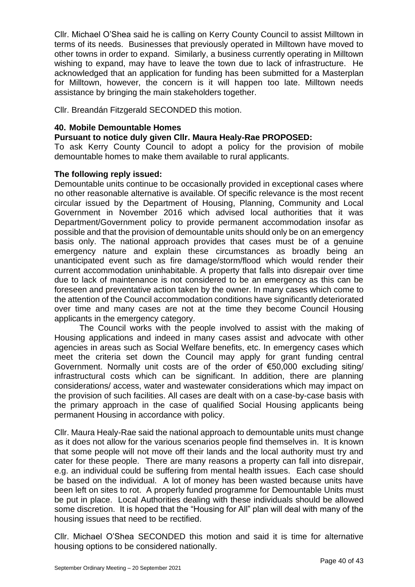Cllr. Michael O'Shea said he is calling on Kerry County Council to assist Milltown in terms of its needs. Businesses that previously operated in Milltown have moved to other towns in order to expand. Similarly, a business currently operating in Milltown wishing to expand, may have to leave the town due to lack of infrastructure. He acknowledged that an application for funding has been submitted for a Masterplan for Milltown, however, the concern is it will happen too late. Milltown needs assistance by bringing the main stakeholders together.

Cllr. Breandán Fitzgerald SECONDED this motion.

### **40. Mobile Demountable Homes**

### **Pursuant to notice duly given Cllr. Maura Healy-Rae PROPOSED:**

To ask Kerry County Council to adopt a policy for the provision of mobile demountable homes to make them available to rural applicants.

### **The following reply issued:**

Demountable units continue to be occasionally provided in exceptional cases where no other reasonable alternative is available. Of specific relevance is the most recent circular issued by the Department of Housing, Planning, Community and Local Government in November 2016 which advised local authorities that it was Department/Government policy to provide permanent accommodation insofar as possible and that the provision of demountable units should only be on an emergency basis only. The national approach provides that cases must be of a genuine emergency nature and explain these circumstances as broadly being an unanticipated event such as fire damage/storm/flood which would render their current accommodation uninhabitable. A property that falls into disrepair over time due to lack of maintenance is not considered to be an emergency as this can be foreseen and preventative action taken by the owner. In many cases which come to the attention of the Council accommodation conditions have significantly deteriorated over time and many cases are not at the time they become Council Housing applicants in the emergency category.

The Council works with the people involved to assist with the making of Housing applications and indeed in many cases assist and advocate with other agencies in areas such as Social Welfare benefits, etc. In emergency cases which meet the criteria set down the Council may apply for grant funding central Government. Normally unit costs are of the order of €50,000 excluding siting/ infrastructural costs which can be significant. In addition, there are planning considerations/ access, water and wastewater considerations which may impact on the provision of such facilities. All cases are dealt with on a case-by-case basis with the primary approach in the case of qualified Social Housing applicants being permanent Housing in accordance with policy.

Cllr. Maura Healy-Rae said the national approach to demountable units must change as it does not allow for the various scenarios people find themselves in. It is known that some people will not move off their lands and the local authority must try and cater for these people. There are many reasons a property can fall into disrepair, e.g. an individual could be suffering from mental health issues. Each case should be based on the individual. A lot of money has been wasted because units have been left on sites to rot. A properly funded programme for Demountable Units must be put in place. Local Authorities dealing with these individuals should be allowed some discretion. It is hoped that the "Housing for All" plan will deal with many of the housing issues that need to be rectified.

Cllr. Michael O'Shea SECONDED this motion and said it is time for alternative housing options to be considered nationally.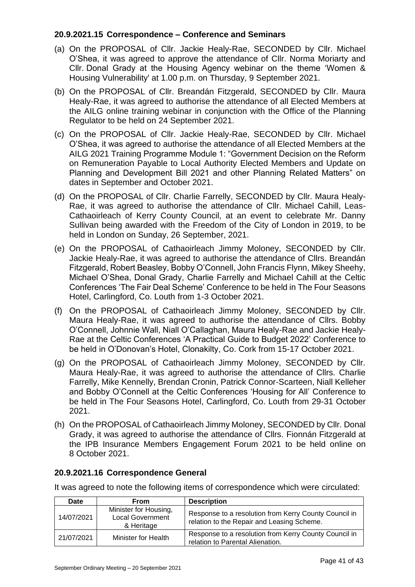## **20.9.2021.15 Correspondence – Conference and Seminars**

- (a) On the PROPOSAL of Cllr. Jackie Healy-Rae, SECONDED by Cllr. Michael O'Shea, it was agreed to approve the attendance of Cllr. Norma Moriarty and Cllr. Donal Grady at the Housing Agency webinar on the theme 'Women & Housing Vulnerability' at 1.00 p.m. on Thursday, 9 September 2021.
- (b) On the PROPOSAL of Cllr. Breandán Fitzgerald, SECONDED by Cllr. Maura Healy-Rae, it was agreed to authorise the attendance of all Elected Members at the AILG online training webinar in conjunction with the Office of the Planning Regulator to be held on 24 September 2021.
- (c) On the PROPOSAL of Cllr. Jackie Healy-Rae, SECONDED by Cllr. Michael O'Shea, it was agreed to authorise the attendance of all Elected Members at the AILG 2021 Training Programme Module 1: "Government Decision on the Reform on Remuneration Payable to Local Authority Elected Members and Update on Planning and Development Bill 2021 and other Planning Related Matters" on dates in September and October 2021.
- (d) On the PROPOSAL of Cllr. Charlie Farrelly, SECONDED by Cllr. Maura Healy-Rae, it was agreed to authorise the attendance of Cllr. Michael Cahill, Leas-Cathaoirleach of Kerry County Council, at an event to celebrate Mr. Danny Sullivan being awarded with the Freedom of the City of London in 2019, to be held in London on Sunday, 26 September, 2021.
- (e) On the PROPOSAL of Cathaoirleach Jimmy Moloney, SECONDED by Cllr. Jackie Healy-Rae, it was agreed to authorise the attendance of Cllrs. Breandán Fitzgerald, Robert Beasley, Bobby O'Connell, John Francis Flynn, Mikey Sheehy, Michael O'Shea, Donal Grady, Charlie Farrelly and Michael Cahill at the Celtic Conferences 'The Fair Deal Scheme' Conference to be held in The Four Seasons Hotel, Carlingford, Co. Louth from 1-3 October 2021.
- (f) On the PROPOSAL of Cathaoirleach Jimmy Moloney, SECONDED by Cllr. Maura Healy-Rae, it was agreed to authorise the attendance of Cllrs. Bobby O'Connell, Johnnie Wall, Niall O'Callaghan, Maura Healy-Rae and Jackie Healy-Rae at the Celtic Conferences 'A Practical Guide to Budget 2022' Conference to be held in O'Donovan's Hotel, Clonakilty, Co. Cork from 15-17 October 2021.
- (g) On the PROPOSAL of Cathaoirleach Jimmy Moloney, SECONDED by Cllr. Maura Healy-Rae, it was agreed to authorise the attendance of Cllrs. Charlie Farrelly, Mike Kennelly, Brendan Cronin, Patrick Connor-Scarteen, Niall Kelleher and Bobby O'Connell at the Celtic Conferences 'Housing for All' Conference to be held in The Four Seasons Hotel, Carlingford, Co. Louth from 29-31 October 2021.
- (h) On the PROPOSAL of Cathaoirleach Jimmy Moloney, SECONDED by Cllr. Donal Grady, it was agreed to authorise the attendance of Cllrs. Fionnán Fitzgerald at the IPB Insurance Members Engagement Forum 2021 to be held online on 8 October 2021.

#### **20.9.2021.16 Correspondence General**

It was agreed to note the following items of correspondence which were circulated:

| Date       | From                                                           | <b>Description</b>                                                                                  |
|------------|----------------------------------------------------------------|-----------------------------------------------------------------------------------------------------|
| 14/07/2021 | Minister for Housing,<br><b>Local Government</b><br>& Heritage | Response to a resolution from Kerry County Council in<br>relation to the Repair and Leasing Scheme. |
| 21/07/2021 | Minister for Health                                            | Response to a resolution from Kerry County Council in<br>relation to Parental Alienation.           |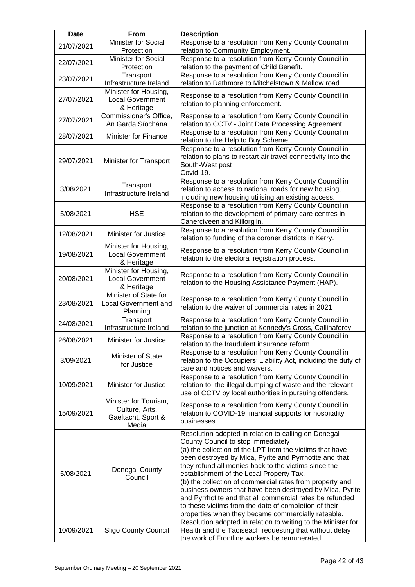| <b>Date</b> | From                                                                   | <b>Description</b>                                                                                                                                                                                                                                                                                                                                                                                                                                                                                                                                                                                                      |
|-------------|------------------------------------------------------------------------|-------------------------------------------------------------------------------------------------------------------------------------------------------------------------------------------------------------------------------------------------------------------------------------------------------------------------------------------------------------------------------------------------------------------------------------------------------------------------------------------------------------------------------------------------------------------------------------------------------------------------|
| 21/07/2021  | <b>Minister for Social</b><br>Protection                               | Response to a resolution from Kerry County Council in<br>relation to Community Employment.                                                                                                                                                                                                                                                                                                                                                                                                                                                                                                                              |
| 22/07/2021  | <b>Minister for Social</b><br>Protection                               | Response to a resolution from Kerry County Council in<br>relation to the payment of Child Benefit.                                                                                                                                                                                                                                                                                                                                                                                                                                                                                                                      |
| 23/07/2021  | Transport<br>Infrastructure Ireland                                    | Response to a resolution from Kerry County Council in<br>relation to Rathmore to Mitchelstown & Mallow road.                                                                                                                                                                                                                                                                                                                                                                                                                                                                                                            |
| 27/07/2021  | Minister for Housing,<br><b>Local Government</b><br>& Heritage         | Response to a resolution from Kerry County Council in<br>relation to planning enforcement.                                                                                                                                                                                                                                                                                                                                                                                                                                                                                                                              |
| 27/07/2021  | Commissioner's Office,<br>An Garda Síochána                            | Response to a resolution from Kerry County Council in<br>relation to CCTV - Joint Data Processing Agreement.                                                                                                                                                                                                                                                                                                                                                                                                                                                                                                            |
| 28/07/2021  | <b>Minister for Finance</b>                                            | Response to a resolution from Kerry County Council in<br>relation to the Help to Buy Scheme.                                                                                                                                                                                                                                                                                                                                                                                                                                                                                                                            |
| 29/07/2021  | Minister for Transport                                                 | Response to a resolution from Kerry County Council in<br>relation to plans to restart air travel connectivity into the<br>South-West post<br>Covid-19.                                                                                                                                                                                                                                                                                                                                                                                                                                                                  |
| 3/08/2021   | Transport<br>Infrastructure Ireland                                    | Response to a resolution from Kerry County Council in<br>relation to access to national roads for new housing,<br>including new housing utilising an existing access.                                                                                                                                                                                                                                                                                                                                                                                                                                                   |
| 5/08/2021   | <b>HSE</b>                                                             | Response to a resolution from Kerry County Council in<br>relation to the development of primary care centres in<br>Caherciveen and Killorglin.                                                                                                                                                                                                                                                                                                                                                                                                                                                                          |
| 12/08/2021  | <b>Minister for Justice</b>                                            | Response to a resolution from Kerry County Council in<br>relation to funding of the coroner districts in Kerry.                                                                                                                                                                                                                                                                                                                                                                                                                                                                                                         |
| 19/08/2021  | Minister for Housing,<br><b>Local Government</b><br>& Heritage         | Response to a resolution from Kerry County Council in<br>relation to the electoral registration process.                                                                                                                                                                                                                                                                                                                                                                                                                                                                                                                |
| 20/08/2021  | Minister for Housing,<br><b>Local Government</b><br>& Heritage         | Response to a resolution from Kerry County Council in<br>relation to the Housing Assistance Payment (HAP).                                                                                                                                                                                                                                                                                                                                                                                                                                                                                                              |
| 23/08/2021  | Minister of State for<br><b>Local Government and</b><br>Planning       | Response to a resolution from Kerry County Council in<br>relation to the waiver of commercial rates in 2021                                                                                                                                                                                                                                                                                                                                                                                                                                                                                                             |
| 24/08/2021  | Transport<br>Infrastructure Ireland                                    | Response to a resolution from Kerry County Council in<br>relation to the junction at Kennedy's Cross, Callinafercy.                                                                                                                                                                                                                                                                                                                                                                                                                                                                                                     |
| 26/08/2021  | Minister for Justice                                                   | Response to a resolution from Kerry County Council in<br>relation to the fraudulent insurance reform.                                                                                                                                                                                                                                                                                                                                                                                                                                                                                                                   |
| 3/09/2021   | Minister of State<br>for Justice                                       | Response to a resolution from Kerry County Council in<br>relation to the Occupiers' Liability Act, including the duty of<br>care and notices and waivers.                                                                                                                                                                                                                                                                                                                                                                                                                                                               |
| 10/09/2021  | <b>Minister for Justice</b>                                            | Response to a resolution from Kerry County Council in<br>relation to the illegal dumping of waste and the relevant<br>use of CCTV by local authorities in pursuing offenders.                                                                                                                                                                                                                                                                                                                                                                                                                                           |
| 15/09/2021  | Minister for Tourism,<br>Culture, Arts,<br>Gaeltacht, Sport &<br>Media | Response to a resolution from Kerry County Council in<br>relation to COVID-19 financial supports for hospitality<br>businesses.                                                                                                                                                                                                                                                                                                                                                                                                                                                                                         |
| 5/08/2021   | Donegal County<br>Council                                              | Resolution adopted in relation to calling on Donegal<br>County Council to stop immediately<br>(a) the collection of the LPT from the victims that have<br>been destroyed by Mica, Pyrite and Pyrrhotite and that<br>they refund all monies back to the victims since the<br>establishment of the Local Property Tax.<br>(b) the collection of commercial rates from property and<br>business owners that have been destroyed by Mica, Pyrite<br>and Pyrrhotite and that all commercial rates be refunded<br>to these victims from the date of completion of their<br>properties when they became commercially rateable. |
| 10/09/2021  | <b>Sligo County Council</b>                                            | Resolution adopted in relation to writing to the Minister for<br>Health and the Taoiseach requesting that without delay<br>the work of Frontline workers be remunerated.                                                                                                                                                                                                                                                                                                                                                                                                                                                |